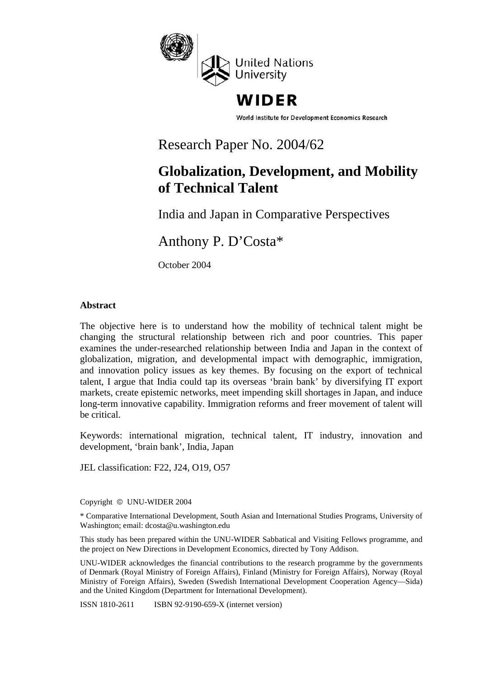

# WIDER

World Institute for Development Economics Research

# Research Paper No. 2004/62

# **Globalization, Development, and Mobility of Technical Talent**

India and Japan in Comparative Perspectives

Anthony P. D'Costa\*

October 2004

# **Abstract**

The objective here is to understand how the mobility of technical talent might be changing the structural relationship between rich and poor countries. This paper examines the under-researched relationship between India and Japan in the context of globalization, migration, and developmental impact with demographic, immigration, and innovation policy issues as key themes. By focusing on the export of technical talent, I argue that India could tap its overseas 'brain bank' by diversifying IT export markets, create epistemic networks, meet impending skill shortages in Japan, and induce long-term innovative capability. Immigration reforms and freer movement of talent will be critical.

Keywords: international migration, technical talent, IT industry, innovation and development, 'brain bank', India, Japan

JEL classification: F22, J24, O19, O57

Copyright © UNU-WIDER 2004

\* Comparative International Development, South Asian and International Studies Programs, University of Washington; email: dcosta@u.washington.edu

This study has been prepared within the UNU-WIDER Sabbatical and Visiting Fellows programme, and the project on New Directions in Development Economics, directed by Tony Addison.

UNU-WIDER acknowledges the financial contributions to the research programme by the governments of Denmark (Royal Ministry of Foreign Affairs), Finland (Ministry for Foreign Affairs), Norway (Royal Ministry of Foreign Affairs), Sweden (Swedish International Development Cooperation Agency—Sida) and the United Kingdom (Department for International Development).

ISSN 1810-2611 ISBN 92-9190-659-X (internet version)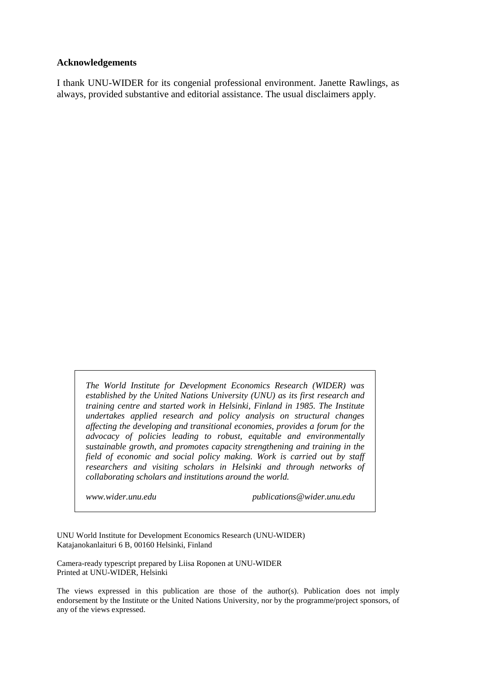#### **Acknowledgements**

I thank UNU-WIDER for its congenial professional environment. Janette Rawlings, as always, provided substantive and editorial assistance. The usual disclaimers apply.

*The World Institute for Development Economics Research (WIDER) was established by the United Nations University (UNU) as its first research and training centre and started work in Helsinki, Finland in 1985. The Institute undertakes applied research and policy analysis on structural changes affecting the developing and transitional economies, provides a forum for the advocacy of policies leading to robust, equitable and environmentally sustainable growth, and promotes capacity strengthening and training in the field of economic and social policy making. Work is carried out by staff researchers and visiting scholars in Helsinki and through networks of collaborating scholars and institutions around the world.*

*www.wider.unu.edu publications@wider.unu.edu*

UNU World Institute for Development Economics Research (UNU-WIDER) Katajanokanlaituri 6 B, 00160 Helsinki, Finland

Camera-ready typescript prepared by Liisa Roponen at UNU-WIDER Printed at UNU-WIDER, Helsinki

The views expressed in this publication are those of the author(s). Publication does not imply endorsement by the Institute or the United Nations University, nor by the programme/project sponsors, of any of the views expressed.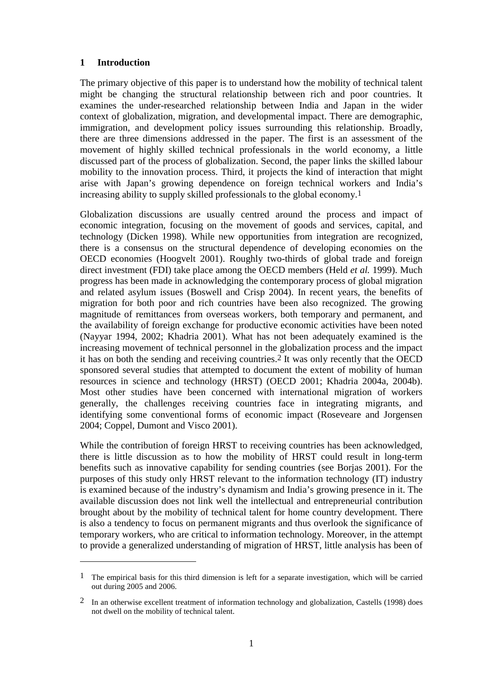# **1 Introduction**

The primary objective of this paper is to understand how the mobility of technical talent might be changing the structural relationship between rich and poor countries. It examines the under-researched relationship between India and Japan in the wider context of globalization, migration, and developmental impact. There are demographic, immigration, and development policy issues surrounding this relationship. Broadly, there are three dimensions addressed in the paper. The first is an assessment of the movement of highly skilled technical professionals in the world economy, a little discussed part of the process of globalization. Second, the paper links the skilled labour mobility to the innovation process. Third, it projects the kind of interaction that might arise with Japan's growing dependence on foreign technical workers and India's increasing ability to supply skilled professionals to the global economy.1

Globalization discussions are usually centred around the process and impact of economic integration, focusing on the movement of goods and services, capital, and technology (Dicken 1998). While new opportunities from integration are recognized, there is a consensus on the structural dependence of developing economies on the OECD economies (Hoogvelt 2001). Roughly two-thirds of global trade and foreign direct investment (FDI) take place among the OECD members (Held *et al.* 1999). Much progress has been made in acknowledging the contemporary process of global migration and related asylum issues (Boswell and Crisp 2004). In recent years, the benefits of migration for both poor and rich countries have been also recognized. The growing magnitude of remittances from overseas workers, both temporary and permanent, and the availability of foreign exchange for productive economic activities have been noted (Nayyar 1994, 2002; Khadria 2001). What has not been adequately examined is the increasing movement of technical personnel in the globalization process and the impact it has on both the sending and receiving countries.2 It was only recently that the OECD sponsored several studies that attempted to document the extent of mobility of human resources in science and technology (HRST) (OECD 2001; Khadria 2004a, 2004b). Most other studies have been concerned with international migration of workers generally, the challenges receiving countries face in integrating migrants, and identifying some conventional forms of economic impact (Roseveare and Jorgensen 2004; Coppel, Dumont and Visco 2001).

While the contribution of foreign HRST to receiving countries has been acknowledged, there is little discussion as to how the mobility of HRST could result in long-term benefits such as innovative capability for sending countries (see Borjas 2001). For the purposes of this study only HRST relevant to the information technology (IT) industry is examined because of the industry's dynamism and India's growing presence in it. The available discussion does not link well the intellectual and entrepreneurial contribution brought about by the mobility of technical talent for home country development. There is also a tendency to focus on permanent migrants and thus overlook the significance of temporary workers, who are critical to information technology. Moreover, in the attempt to provide a generalized understanding of migration of HRST, little analysis has been of

<sup>1</sup> The empirical basis for this third dimension is left for a separate investigation, which will be carried out during 2005 and 2006.

<sup>2</sup> In an otherwise excellent treatment of information technology and globalization, Castells (1998) does not dwell on the mobility of technical talent.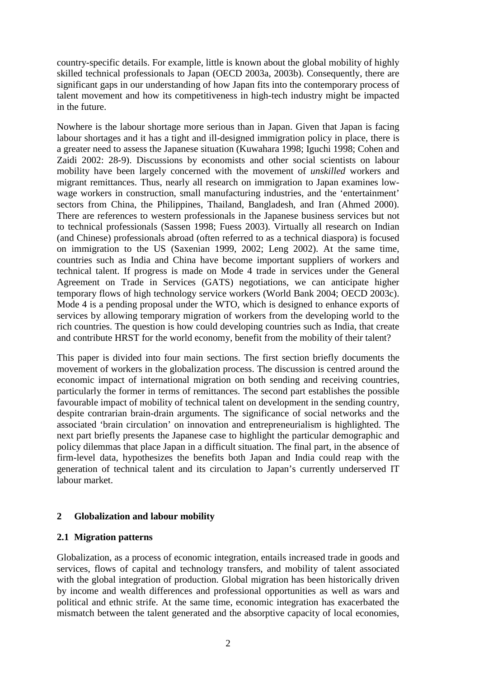country-specific details. For example, little is known about the global mobility of highly skilled technical professionals to Japan (OECD 2003a, 2003b). Consequently, there are significant gaps in our understanding of how Japan fits into the contemporary process of talent movement and how its competitiveness in high-tech industry might be impacted in the future.

Nowhere is the labour shortage more serious than in Japan. Given that Japan is facing labour shortages and it has a tight and ill-designed immigration policy in place, there is a greater need to assess the Japanese situation (Kuwahara 1998; Iguchi 1998; Cohen and Zaidi 2002: 28-9). Discussions by economists and other social scientists on labour mobility have been largely concerned with the movement of *unskilled* workers and migrant remittances. Thus, nearly all research on immigration to Japan examines lowwage workers in construction, small manufacturing industries, and the 'entertainment' sectors from China, the Philippines, Thailand, Bangladesh, and Iran (Ahmed 2000). There are references to western professionals in the Japanese business services but not to technical professionals (Sassen 1998; Fuess 2003). Virtually all research on Indian (and Chinese) professionals abroad (often referred to as a technical diaspora) is focused on immigration to the US (Saxenian 1999, 2002; Leng 2002). At the same time, countries such as India and China have become important suppliers of workers and technical talent. If progress is made on Mode 4 trade in services under the General Agreement on Trade in Services (GATS) negotiations, we can anticipate higher temporary flows of high technology service workers (World Bank 2004; OECD 2003c). Mode 4 is a pending proposal under the WTO, which is designed to enhance exports of services by allowing temporary migration of workers from the developing world to the rich countries. The question is how could developing countries such as India, that create and contribute HRST for the world economy, benefit from the mobility of their talent?

This paper is divided into four main sections. The first section briefly documents the movement of workers in the globalization process. The discussion is centred around the economic impact of international migration on both sending and receiving countries, particularly the former in terms of remittances. The second part establishes the possible favourable impact of mobility of technical talent on development in the sending country, despite contrarian brain-drain arguments. The significance of social networks and the associated 'brain circulation' on innovation and entrepreneurialism is highlighted. The next part briefly presents the Japanese case to highlight the particular demographic and policy dilemmas that place Japan in a difficult situation. The final part, in the absence of firm-level data, hypothesizes the benefits both Japan and India could reap with the generation of technical talent and its circulation to Japan's currently underserved IT labour market.

# **2 Globalization and labour mobility**

# **2.1 Migration patterns**

Globalization, as a process of economic integration, entails increased trade in goods and services, flows of capital and technology transfers, and mobility of talent associated with the global integration of production. Global migration has been historically driven by income and wealth differences and professional opportunities as well as wars and political and ethnic strife. At the same time, economic integration has exacerbated the mismatch between the talent generated and the absorptive capacity of local economies,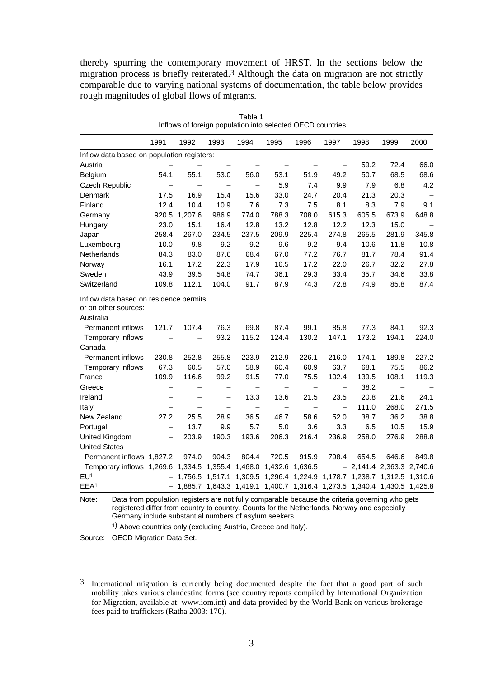thereby spurring the contemporary movement of HRST. In the sections below the migration process is briefly reiterated.3 Although the data on migration are not strictly comparable due to varying national systems of documentation, the table below provides rough magnitudes of global flows of migrants.

|                                                                             | Inflows of foreign population into selected OECD countries |                          |                          |                          |                                                                         |       |                          |       |                            |       |
|-----------------------------------------------------------------------------|------------------------------------------------------------|--------------------------|--------------------------|--------------------------|-------------------------------------------------------------------------|-------|--------------------------|-------|----------------------------|-------|
|                                                                             | 1991                                                       | 1992                     | 1993                     | 1994                     | 1995                                                                    | 1996  | 1997                     | 1998  | 1999                       | 2000  |
| Inflow data based on population registers:                                  |                                                            |                          |                          |                          |                                                                         |       |                          |       |                            |       |
| Austria                                                                     |                                                            |                          |                          |                          |                                                                         |       |                          | 59.2  | 72.4                       | 66.0  |
| Belgium                                                                     | 54.1                                                       | 55.1                     | 53.0                     | 56.0                     | 53.1                                                                    | 51.9  | 49.2                     | 50.7  | 68.5                       | 68.6  |
| <b>Czech Republic</b>                                                       | —                                                          | $\qquad \qquad -$        | $\qquad \qquad -$        | $\qquad \qquad -$        | 5.9                                                                     | 7.4   | 9.9                      | 7.9   | 6.8                        | 4.2   |
| Denmark                                                                     | 17.5                                                       | 16.9                     | 15.4                     | 15.6                     | 33.0                                                                    | 24.7  | 20.4                     | 21.3  | 20.3                       |       |
| Finland                                                                     | 12.4                                                       | 10.4                     | 10.9                     | 7.6                      | 7.3                                                                     | 7.5   | 8.1                      | 8.3   | 7.9                        | 9.1   |
| Germany                                                                     | 920.5                                                      | 1,207.6                  | 986.9                    | 774.0                    | 788.3                                                                   | 708.0 | 615.3                    | 605.5 | 673.9                      | 648.8 |
| Hungary                                                                     | 23.0                                                       | 15.1                     | 16.4                     | 12.8                     | 13.2                                                                    | 12.8  | 12.2                     | 12.3  | 15.0                       |       |
| Japan                                                                       | 258.4                                                      | 267.0                    | 234.5                    | 237.5                    | 209.9                                                                   | 225.4 | 274.8                    | 265.5 | 281.9                      | 345.8 |
| Luxembourg                                                                  | 10.0                                                       | 9.8                      | 9.2                      | 9.2                      | 9.6                                                                     | 9.2   | 9.4                      | 10.6  | 11.8                       | 10.8  |
| Netherlands                                                                 | 84.3                                                       | 83.0                     | 87.6                     | 68.4                     | 67.0                                                                    | 77.2  | 76.7                     | 81.7  | 78.4                       | 91.4  |
| Norway                                                                      | 16.1                                                       | 17.2                     | 22.3                     | 17.9                     | 16.5                                                                    | 17.2  | 22.0                     | 26.7  | 32.2                       | 27.8  |
| Sweden                                                                      | 43.9                                                       | 39.5                     | 54.8                     | 74.7                     | 36.1                                                                    | 29.3  | 33.4                     | 35.7  | 34.6                       | 33.8  |
| Switzerland                                                                 | 109.8                                                      | 112.1                    | 104.0                    | 91.7                     | 87.9                                                                    | 74.3  | 72.8                     | 74.9  | 85.8                       | 87.4  |
| Inflow data based on residence permits<br>or on other sources:<br>Australia |                                                            |                          |                          |                          |                                                                         |       |                          |       |                            |       |
| Permanent inflows                                                           | 121.7                                                      | 107.4                    | 76.3                     | 69.8                     | 87.4                                                                    | 99.1  | 85.8                     | 77.3  | 84.1                       | 92.3  |
| Temporary inflows                                                           |                                                            |                          | 93.2                     | 115.2                    | 124.4                                                                   | 130.2 | 147.1                    | 173.2 | 194.1                      | 224.0 |
| Canada                                                                      |                                                            |                          |                          |                          |                                                                         |       |                          |       |                            |       |
| Permanent inflows                                                           | 230.8                                                      | 252.8                    | 255.8                    | 223.9                    | 212.9                                                                   | 226.1 | 216.0                    | 174.1 | 189.8                      | 227.2 |
| Temporary inflows                                                           | 67.3                                                       | 60.5                     | 57.0                     | 58.9                     | 60.4                                                                    | 60.9  | 63.7                     | 68.1  | 75.5                       | 86.2  |
| France                                                                      | 109.9                                                      | 116.6                    | 99.2                     | 91.5                     | 77.0                                                                    | 75.5  | 102.4                    | 139.5 | 108.1                      | 119.3 |
| Greece                                                                      | —                                                          | —                        | —                        | —                        |                                                                         |       | $\overline{\phantom{0}}$ | 38.2  |                            |       |
| Ireland                                                                     | —                                                          | —                        | $\overline{\phantom{0}}$ | 13.3                     | 13.6                                                                    | 21.5  | 23.5                     | 20.8  | 21.6                       | 24.1  |
| Italy                                                                       | —                                                          | $\overline{\phantom{0}}$ | —                        | $\overline{\phantom{0}}$ | $\overline{\phantom{0}}$                                                |       | $\overline{\phantom{0}}$ | 111.0 | 268.0                      | 271.5 |
| New Zealand                                                                 | 27.2                                                       | 25.5                     | 28.9                     | 36.5                     | 46.7                                                                    | 58.6  | 52.0                     | 38.7  | 36.2                       | 38.8  |
| Portugal                                                                    | $\overline{\phantom{0}}$                                   | 13.7                     | 9.9                      | 5.7                      | 5.0                                                                     | 3.6   | 3.3                      | 6.5   | 10.5                       | 15.9  |
| United Kingdom                                                              | $\overline{\phantom{0}}$                                   | 203.9                    | 190.3                    | 193.6                    | 206.3                                                                   | 216.4 | 236.9                    | 258.0 | 276.9                      | 288.8 |
| <b>United States</b>                                                        |                                                            |                          |                          |                          |                                                                         |       |                          |       |                            |       |
| Permanent inflows 1,827.2                                                   |                                                            | 974.0                    | 904.3                    | 804.4                    | 720.5                                                                   | 915.9 | 798.4                    | 654.5 | 646.6                      | 849.8 |
| Temporary inflows 1,269.6 1,334.5 1,355.4 1,468.0 1,432.6 1,636.5           |                                                            |                          |                          |                          |                                                                         |       |                          |       | $-2,141.4$ 2,363.3 2,740.6 |       |
| EU <sup>1</sup>                                                             |                                                            | 1,756.5                  |                          |                          | 1,517.1 1,309.5 1,296.4 1,224.9 1,178.7 1,238.7 1,312.5 1,310.6         |       |                          |       |                            |       |
| EEA1                                                                        |                                                            |                          |                          |                          | 1,885.7 1,643.3 1,419.1 1,400.7 1,316.4 1,273.5 1,340.4 1,430.5 1,425.8 |       |                          |       |                            |       |

Table 1

Note: Data from population registers are not fully comparable because the criteria governing who gets registered differ from country to country. Counts for the Netherlands, Norway and especially Germany include substantial numbers of asylum seekers.

1) Above countries only (excluding Austria, Greece and Italy).

Source: OECD Migration Data Set.

<sup>3</sup> International migration is currently being documented despite the fact that a good part of such mobility takes various clandestine forms (see country reports compiled by International Organization for Migration, available at: www.iom.int) and data provided by the World Bank on various brokerage fees paid to traffickers (Ratha 2003: 170).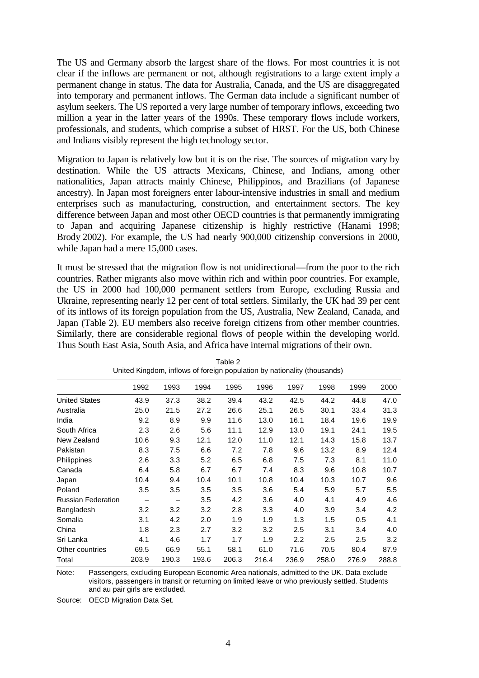The US and Germany absorb the largest share of the flows. For most countries it is not clear if the inflows are permanent or not, although registrations to a large extent imply a permanent change in status. The data for Australia, Canada, and the US are disaggregated into temporary and permanent inflows. The German data include a significant number of asylum seekers. The US reported a very large number of temporary inflows, exceeding two million a year in the latter years of the 1990s. These temporary flows include workers, professionals, and students, which comprise a subset of HRST. For the US, both Chinese and Indians visibly represent the high technology sector.

Migration to Japan is relatively low but it is on the rise. The sources of migration vary by destination. While the US attracts Mexicans, Chinese, and Indians, among other nationalities, Japan attracts mainly Chinese, Philippinos, and Brazilians (of Japanese ancestry). In Japan most foreigners enter labour-intensive industries in small and medium enterprises such as manufacturing, construction, and entertainment sectors. The key difference between Japan and most other OECD countries is that permanently immigrating to Japan and acquiring Japanese citizenship is highly restrictive (Hanami 1998; Brody 2002). For example, the US had nearly 900,000 citizenship conversions in 2000, while Japan had a mere 15,000 cases.

It must be stressed that the migration flow is not unidirectional—from the poor to the rich countries. Rather migrants also move within rich and within poor countries. For example, the US in 2000 had 100,000 permanent settlers from Europe, excluding Russia and Ukraine, representing nearly 12 per cent of total settlers. Similarly, the UK had 39 per cent of its inflows of its foreign population from the US, Australia, New Zealand, Canada, and Japan (Table 2). EU members also receive foreign citizens from other member countries. Similarly, there are considerable regional flows of people within the developing world. Thus South East Asia, South Asia, and Africa have internal migrations of their own.

| United Kingdon, imitors or lotelyn population by Hationality (thousands) |       |       |       |       |       |       |       |       |       |
|--------------------------------------------------------------------------|-------|-------|-------|-------|-------|-------|-------|-------|-------|
|                                                                          | 1992  | 1993  | 1994  | 1995  | 1996  | 1997  | 1998  | 1999  | 2000  |
| <b>United States</b>                                                     | 43.9  | 37.3  | 38.2  | 39.4  | 43.2  | 42.5  | 44.2  | 44.8  | 47.0  |
| Australia                                                                | 25.0  | 21.5  | 27.2  | 26.6  | 25.1  | 26.5  | 30.1  | 33.4  | 31.3  |
| India                                                                    | 9.2   | 8.9   | 9.9   | 11.6  | 13.0  | 16.1  | 18.4  | 19.6  | 19.9  |
| South Africa                                                             | 2.3   | 2.6   | 5.6   | 11.1  | 12.9  | 13.0  | 19.1  | 24.1  | 19.5  |
| New Zealand                                                              | 10.6  | 9.3   | 12.1  | 12.0  | 11.0  | 12.1  | 14.3  | 15.8  | 13.7  |
| Pakistan                                                                 | 8.3   | 7.5   | 6.6   | 7.2   | 7.8   | 9.6   | 13.2  | 8.9   | 12.4  |
| Philippines                                                              | 2.6   | 3.3   | 5.2   | 6.5   | 6.8   | 7.5   | 7.3   | 8.1   | 11.0  |
| Canada                                                                   | 6.4   | 5.8   | 6.7   | 6.7   | 7.4   | 8.3   | 9.6   | 10.8  | 10.7  |
| Japan                                                                    | 10.4  | 9.4   | 10.4  | 10.1  | 10.8  | 10.4  | 10.3  | 10.7  | 9.6   |
| Poland                                                                   | 3.5   | 3.5   | 3.5   | 3.5   | 3.6   | 5.4   | 5.9   | 5.7   | 5.5   |
| <b>Russian Federation</b>                                                |       |       | 3.5   | 4.2   | 3.6   | 4.0   | 4.1   | 4.9   | 4.6   |
| Bangladesh                                                               | 3.2   | 3.2   | 3.2   | 2.8   | 3.3   | 4.0   | 3.9   | 3.4   | 4.2   |
| Somalia                                                                  | 3.1   | 4.2   | 2.0   | 1.9   | 1.9   | 1.3   | 1.5   | 0.5   | 4.1   |
| China                                                                    | 1.8   | 2.3   | 2.7   | 3.2   | 3.2   | 2.5   | 3.1   | 3.4   | 4.0   |
| Sri Lanka                                                                | 4.1   | 4.6   | 1.7   | 1.7   | 1.9   | 2.2   | 2.5   | 2.5   | 3.2   |
| Other countries                                                          | 69.5  | 66.9  | 55.1  | 58.1  | 61.0  | 71.6  | 70.5  | 80.4  | 87.9  |
| Total                                                                    | 203.9 | 190.3 | 193.6 | 206.3 | 216.4 | 236.9 | 258.0 | 276.9 | 288.8 |

| Table 2                                                                  |  |
|--------------------------------------------------------------------------|--|
| United Kingdom, inflows of foreign population by nationality (thousands) |  |

Note: Passengers, excluding European Economic Area nationals, admitted to the UK. Data exclude visitors, passengers in transit or returning on limited leave or who previously settled. Students and au pair girls are excluded.

Source: OECD Migration Data Set.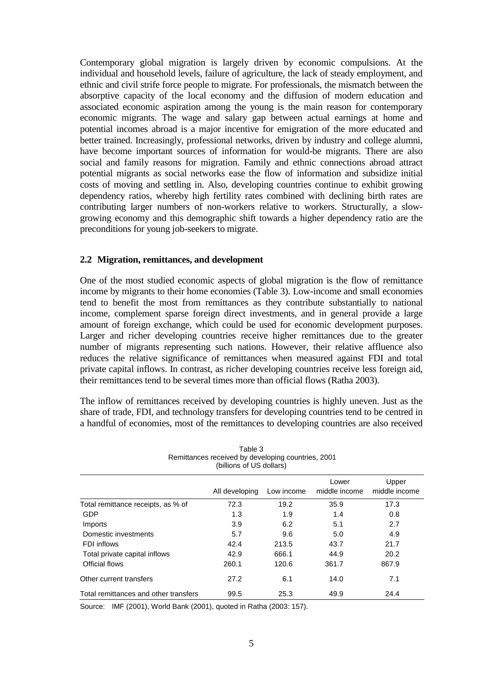Contemporary global migration is largely driven by economic compulsions. At the individual and household levels, failure of agriculture, the lack of steady employment, and ethnic and civil strife force people to migrate. For professionals, the mismatch between the absorptive capacity of the local economy and the diffusion of modern education and associated economic aspiration among the young is the main reason for contemporary economic migrants. The wage and salary gap between actual earnings at home and potential incomes abroad is a major incentive for emigration of the more educated and better trained. Increasingly, professional networks, driven by industry and college alumni, have become important sources of information for would-be migrants. There are also social and family reasons for migration. Family and ethnic connections abroad attract potential migrants as social networks ease the flow of information and subsidize initial costs of moving and settling in. Also, developing countries continue to exhibit growing dependency ratios, whereby high fertility rates combined with declining birth rates are contributing larger numbers of non-workers relative to workers. Structurally, a slowgrowing economy and this demographic shift towards a higher dependency ratio are the preconditions for young job-seekers to migrate.

# **2.2 Migration, remittances, and development**

One of the most studied economic aspects of global migration is the flow of remittance income by migrants to their home economies (Table 3). Low-income and small economies tend to benefit the most from remittances as they contribute substantially to national income, complement sparse foreign direct investments, and in general provide a large amount of foreign exchange, which could be used for economic development purposes. Larger and richer developing countries receive higher remittances due to the greater number of migrants representing such nations. However, their relative affluence also reduces the relative significance of remittances when measured against FDI and total private capital inflows. In contrast, as richer developing countries receive less foreign aid, their remittances tend to be several times more than official flows (Ratha 2003).

The inflow of remittances received by developing countries is highly uneven. Just as the share of trade, FDI, and technology transfers for developing countries tend to be centred in a handful of economies, most of the remittances to developing countries are also received

| rabie o<br>Remittances received by developing countries, 2001<br>(billions of US dollars) |                |            |                        |                        |  |  |  |  |
|-------------------------------------------------------------------------------------------|----------------|------------|------------------------|------------------------|--|--|--|--|
|                                                                                           | All developing | Low income | Lower<br>middle income | Upper<br>middle income |  |  |  |  |
| Total remittance receipts, as % of                                                        | 72.3           | 19.2       | 35.9                   | 17.3                   |  |  |  |  |
| GDP                                                                                       | 1.3            | 1.9        | 1.4                    | 0.8                    |  |  |  |  |
| Imports                                                                                   | 3.9            | 6.2        | 5.1                    | 2.7                    |  |  |  |  |
| Domestic investments                                                                      | 5.7            | 9.6        | 5.0                    | 4.9                    |  |  |  |  |
| FDI inflows                                                                               | 42.4           | 213.5      | 43.7                   | 21.7                   |  |  |  |  |
| Total private capital inflows                                                             | 42.9           | 666.1      | 44.9                   | 20.2                   |  |  |  |  |
| Official flows                                                                            | 260.1          | 120.6      | 361.7                  | 867.9                  |  |  |  |  |
| Other current transfers                                                                   | 27.2           | 6.1        | 14.0                   | 7.1                    |  |  |  |  |
| Total remittances and other transfers                                                     | 99.5           | 25.3       | 49.9                   | 24.4                   |  |  |  |  |

 $T$ able 3

Source: IMF (2001), World Bank (2001), quoted in Ratha (2003: 157).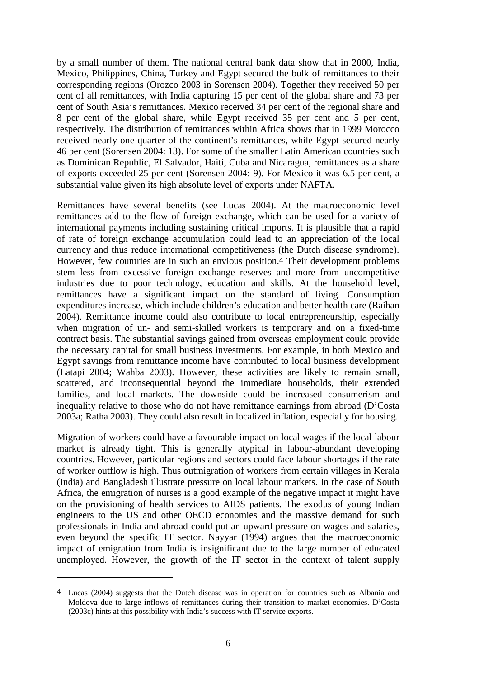by a small number of them. The national central bank data show that in 2000, India, Mexico, Philippines, China, Turkey and Egypt secured the bulk of remittances to their corresponding regions (Orozco 2003 in Sorensen 2004). Together they received 50 per cent of all remittances, with India capturing 15 per cent of the global share and 73 per cent of South Asia's remittances. Mexico received 34 per cent of the regional share and 8 per cent of the global share, while Egypt received 35 per cent and 5 per cent, respectively. The distribution of remittances within Africa shows that in 1999 Morocco received nearly one quarter of the continent's remittances, while Egypt secured nearly 46 per cent (Sorensen 2004: 13). For some of the smaller Latin American countries such as Dominican Republic, El Salvador, Haiti, Cuba and Nicaragua, remittances as a share of exports exceeded 25 per cent (Sorensen 2004: 9). For Mexico it was 6.5 per cent, a substantial value given its high absolute level of exports under NAFTA.

Remittances have several benefits (see Lucas 2004). At the macroeconomic level remittances add to the flow of foreign exchange, which can be used for a variety of international payments including sustaining critical imports. It is plausible that a rapid of rate of foreign exchange accumulation could lead to an appreciation of the local currency and thus reduce international competitiveness (the Dutch disease syndrome). However, few countries are in such an envious position.4 Their development problems stem less from excessive foreign exchange reserves and more from uncompetitive industries due to poor technology, education and skills. At the household level, remittances have a significant impact on the standard of living. Consumption expenditures increase, which include children's education and better health care (Raihan 2004). Remittance income could also contribute to local entrepreneurship, especially when migration of un- and semi-skilled workers is temporary and on a fixed-time contract basis. The substantial savings gained from overseas employment could provide the necessary capital for small business investments. For example, in both Mexico and Egypt savings from remittance income have contributed to local business development (Latapi 2004; Wahba 2003). However, these activities are likely to remain small, scattered, and inconsequential beyond the immediate households, their extended families, and local markets. The downside could be increased consumerism and inequality relative to those who do not have remittance earnings from abroad (D'Costa 2003a; Ratha 2003). They could also result in localized inflation, especially for housing.

Migration of workers could have a favourable impact on local wages if the local labour market is already tight. This is generally atypical in labour-abundant developing countries. However, particular regions and sectors could face labour shortages if the rate of worker outflow is high. Thus outmigration of workers from certain villages in Kerala (India) and Bangladesh illustrate pressure on local labour markets. In the case of South Africa, the emigration of nurses is a good example of the negative impact it might have on the provisioning of health services to AIDS patients. The exodus of young Indian engineers to the US and other OECD economies and the massive demand for such professionals in India and abroad could put an upward pressure on wages and salaries, even beyond the specific IT sector. Nayyar (1994) argues that the macroeconomic impact of emigration from India is insignificant due to the large number of educated unemployed. However, the growth of the IT sector in the context of talent supply

<sup>4</sup> Lucas (2004) suggests that the Dutch disease was in operation for countries such as Albania and Moldova due to large inflows of remittances during their transition to market economies. D'Costa (2003c) hints at this possibility with India's success with IT service exports.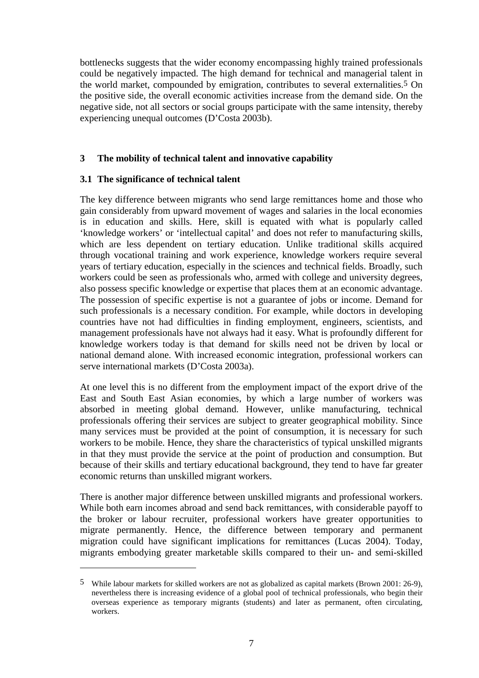bottlenecks suggests that the wider economy encompassing highly trained professionals could be negatively impacted. The high demand for technical and managerial talent in the world market, compounded by emigration, contributes to several externalities.5 On the positive side, the overall economic activities increase from the demand side. On the negative side, not all sectors or social groups participate with the same intensity, thereby experiencing unequal outcomes (D'Costa 2003b).

# **3 The mobility of technical talent and innovative capability**

# **3.1 The significance of technical talent**

The key difference between migrants who send large remittances home and those who gain considerably from upward movement of wages and salaries in the local economies is in education and skills. Here, skill is equated with what is popularly called 'knowledge workers' or 'intellectual capital' and does not refer to manufacturing skills, which are less dependent on tertiary education. Unlike traditional skills acquired through vocational training and work experience, knowledge workers require several years of tertiary education, especially in the sciences and technical fields. Broadly, such workers could be seen as professionals who, armed with college and university degrees, also possess specific knowledge or expertise that places them at an economic advantage. The possession of specific expertise is not a guarantee of jobs or income. Demand for such professionals is a necessary condition. For example, while doctors in developing countries have not had difficulties in finding employment, engineers, scientists, and management professionals have not always had it easy. What is profoundly different for knowledge workers today is that demand for skills need not be driven by local or national demand alone. With increased economic integration, professional workers can serve international markets (D'Costa 2003a).

At one level this is no different from the employment impact of the export drive of the East and South East Asian economies, by which a large number of workers was absorbed in meeting global demand. However, unlike manufacturing, technical professionals offering their services are subject to greater geographical mobility. Since many services must be provided at the point of consumption, it is necessary for such workers to be mobile. Hence, they share the characteristics of typical unskilled migrants in that they must provide the service at the point of production and consumption. But because of their skills and tertiary educational background, they tend to have far greater economic returns than unskilled migrant workers.

There is another major difference between unskilled migrants and professional workers. While both earn incomes abroad and send back remittances, with considerable payoff to the broker or labour recruiter, professional workers have greater opportunities to migrate permanently. Hence, the difference between temporary and permanent migration could have significant implications for remittances (Lucas 2004). Today, migrants embodying greater marketable skills compared to their un- and semi-skilled

<sup>5</sup> While labour markets for skilled workers are not as globalized as capital markets (Brown 2001: 26-9), nevertheless there is increasing evidence of a global pool of technical professionals, who begin their overseas experience as temporary migrants (students) and later as permanent, often circulating, workers.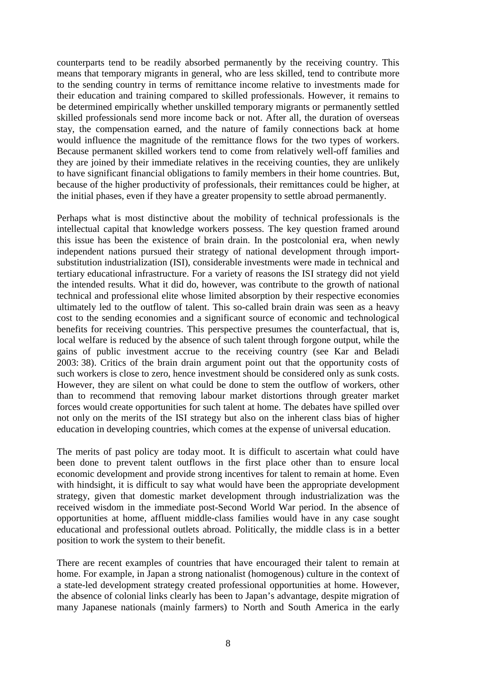counterparts tend to be readily absorbed permanently by the receiving country. This means that temporary migrants in general, who are less skilled, tend to contribute more to the sending country in terms of remittance income relative to investments made for their education and training compared to skilled professionals. However, it remains to be determined empirically whether unskilled temporary migrants or permanently settled skilled professionals send more income back or not. After all, the duration of overseas stay, the compensation earned, and the nature of family connections back at home would influence the magnitude of the remittance flows for the two types of workers. Because permanent skilled workers tend to come from relatively well-off families and they are joined by their immediate relatives in the receiving counties, they are unlikely to have significant financial obligations to family members in their home countries. But, because of the higher productivity of professionals, their remittances could be higher, at the initial phases, even if they have a greater propensity to settle abroad permanently.

Perhaps what is most distinctive about the mobility of technical professionals is the intellectual capital that knowledge workers possess. The key question framed around this issue has been the existence of brain drain. In the postcolonial era, when newly independent nations pursued their strategy of national development through importsubstitution industrialization (ISI), considerable investments were made in technical and tertiary educational infrastructure. For a variety of reasons the ISI strategy did not yield the intended results. What it did do, however, was contribute to the growth of national technical and professional elite whose limited absorption by their respective economies ultimately led to the outflow of talent. This so-called brain drain was seen as a heavy cost to the sending economies and a significant source of economic and technological benefits for receiving countries. This perspective presumes the counterfactual, that is, local welfare is reduced by the absence of such talent through forgone output, while the gains of public investment accrue to the receiving country (see Kar and Beladi 2003: 38). Critics of the brain drain argument point out that the opportunity costs of such workers is close to zero, hence investment should be considered only as sunk costs. However, they are silent on what could be done to stem the outflow of workers, other than to recommend that removing labour market distortions through greater market forces would create opportunities for such talent at home. The debates have spilled over not only on the merits of the ISI strategy but also on the inherent class bias of higher education in developing countries, which comes at the expense of universal education.

The merits of past policy are today moot. It is difficult to ascertain what could have been done to prevent talent outflows in the first place other than to ensure local economic development and provide strong incentives for talent to remain at home. Even with hindsight, it is difficult to say what would have been the appropriate development strategy, given that domestic market development through industrialization was the received wisdom in the immediate post-Second World War period. In the absence of opportunities at home, affluent middle-class families would have in any case sought educational and professional outlets abroad. Politically, the middle class is in a better position to work the system to their benefit.

There are recent examples of countries that have encouraged their talent to remain at home. For example, in Japan a strong nationalist (homogenous) culture in the context of a state-led development strategy created professional opportunities at home. However, the absence of colonial links clearly has been to Japan's advantage, despite migration of many Japanese nationals (mainly farmers) to North and South America in the early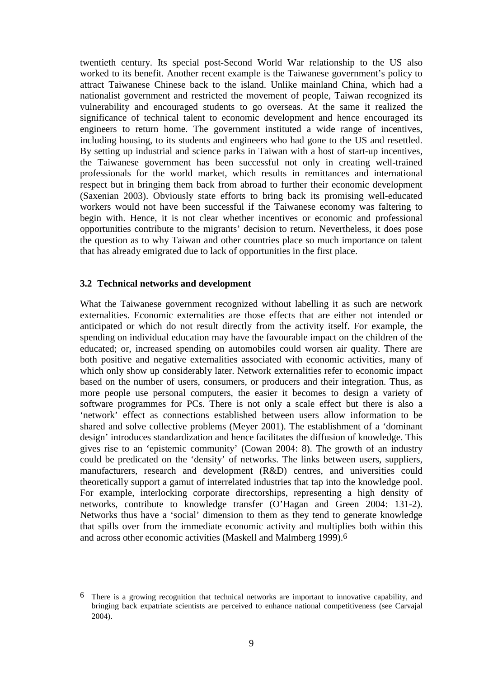twentieth century. Its special post-Second World War relationship to the US also worked to its benefit. Another recent example is the Taiwanese government's policy to attract Taiwanese Chinese back to the island. Unlike mainland China, which had a nationalist government and restricted the movement of people, Taiwan recognized its vulnerability and encouraged students to go overseas. At the same it realized the significance of technical talent to economic development and hence encouraged its engineers to return home. The government instituted a wide range of incentives, including housing, to its students and engineers who had gone to the US and resettled. By setting up industrial and science parks in Taiwan with a host of start-up incentives, the Taiwanese government has been successful not only in creating well-trained professionals for the world market, which results in remittances and international respect but in bringing them back from abroad to further their economic development (Saxenian 2003). Obviously state efforts to bring back its promising well-educated workers would not have been successful if the Taiwanese economy was faltering to begin with. Hence, it is not clear whether incentives or economic and professional opportunities contribute to the migrants' decision to return. Nevertheless, it does pose the question as to why Taiwan and other countries place so much importance on talent that has already emigrated due to lack of opportunities in the first place.

# **3.2 Technical networks and development**

What the Taiwanese government recognized without labelling it as such are network externalities. Economic externalities are those effects that are either not intended or anticipated or which do not result directly from the activity itself. For example, the spending on individual education may have the favourable impact on the children of the educated; or, increased spending on automobiles could worsen air quality. There are both positive and negative externalities associated with economic activities, many of which only show up considerably later. Network externalities refer to economic impact based on the number of users, consumers, or producers and their integration. Thus, as more people use personal computers, the easier it becomes to design a variety of software programmes for PCs. There is not only a scale effect but there is also a 'network' effect as connections established between users allow information to be shared and solve collective problems (Meyer 2001). The establishment of a 'dominant design' introduces standardization and hence facilitates the diffusion of knowledge. This gives rise to an 'epistemic community' (Cowan 2004: 8). The growth of an industry could be predicated on the 'density' of networks. The links between users, suppliers, manufacturers, research and development (R&D) centres, and universities could theoretically support a gamut of interrelated industries that tap into the knowledge pool. For example, interlocking corporate directorships, representing a high density of networks, contribute to knowledge transfer (O'Hagan and Green 2004: 131-2). Networks thus have a 'social' dimension to them as they tend to generate knowledge that spills over from the immediate economic activity and multiplies both within this and across other economic activities (Maskell and Malmberg 1999).6

<sup>6</sup> There is a growing recognition that technical networks are important to innovative capability, and bringing back expatriate scientists are perceived to enhance national competitiveness (see Carvajal 2004).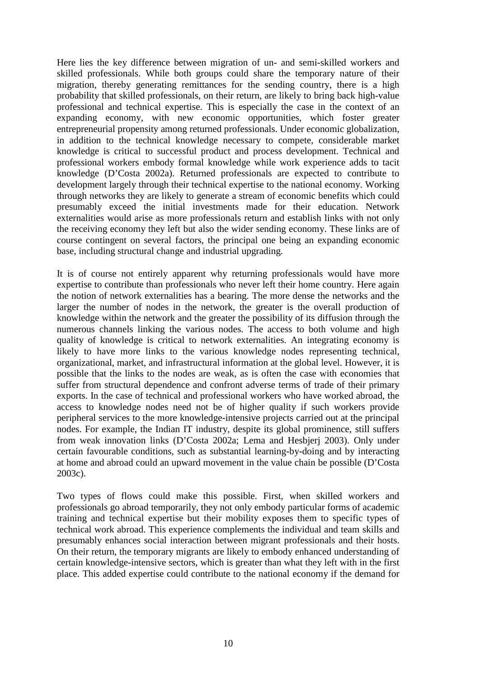Here lies the key difference between migration of un- and semi-skilled workers and skilled professionals. While both groups could share the temporary nature of their migration, thereby generating remittances for the sending country, there is a high probability that skilled professionals, on their return, are likely to bring back high-value professional and technical expertise. This is especially the case in the context of an expanding economy, with new economic opportunities, which foster greater entrepreneurial propensity among returned professionals. Under economic globalization, in addition to the technical knowledge necessary to compete, considerable market knowledge is critical to successful product and process development. Technical and professional workers embody formal knowledge while work experience adds to tacit knowledge (D'Costa 2002a). Returned professionals are expected to contribute to development largely through their technical expertise to the national economy. Working through networks they are likely to generate a stream of economic benefits which could presumably exceed the initial investments made for their education. Network externalities would arise as more professionals return and establish links with not only the receiving economy they left but also the wider sending economy. These links are of course contingent on several factors, the principal one being an expanding economic base, including structural change and industrial upgrading.

It is of course not entirely apparent why returning professionals would have more expertise to contribute than professionals who never left their home country. Here again the notion of network externalities has a bearing. The more dense the networks and the larger the number of nodes in the network, the greater is the overall production of knowledge within the network and the greater the possibility of its diffusion through the numerous channels linking the various nodes. The access to both volume and high quality of knowledge is critical to network externalities. An integrating economy is likely to have more links to the various knowledge nodes representing technical, organizational, market, and infrastructural information at the global level. However, it is possible that the links to the nodes are weak, as is often the case with economies that suffer from structural dependence and confront adverse terms of trade of their primary exports. In the case of technical and professional workers who have worked abroad, the access to knowledge nodes need not be of higher quality if such workers provide peripheral services to the more knowledge-intensive projects carried out at the principal nodes. For example, the Indian IT industry, despite its global prominence, still suffers from weak innovation links (D'Costa 2002a; Lema and Hesbjerj 2003). Only under certain favourable conditions, such as substantial learning-by-doing and by interacting at home and abroad could an upward movement in the value chain be possible (D'Costa 2003c).

Two types of flows could make this possible. First, when skilled workers and professionals go abroad temporarily, they not only embody particular forms of academic training and technical expertise but their mobility exposes them to specific types of technical work abroad. This experience complements the individual and team skills and presumably enhances social interaction between migrant professionals and their hosts. On their return, the temporary migrants are likely to embody enhanced understanding of certain knowledge-intensive sectors, which is greater than what they left with in the first place. This added expertise could contribute to the national economy if the demand for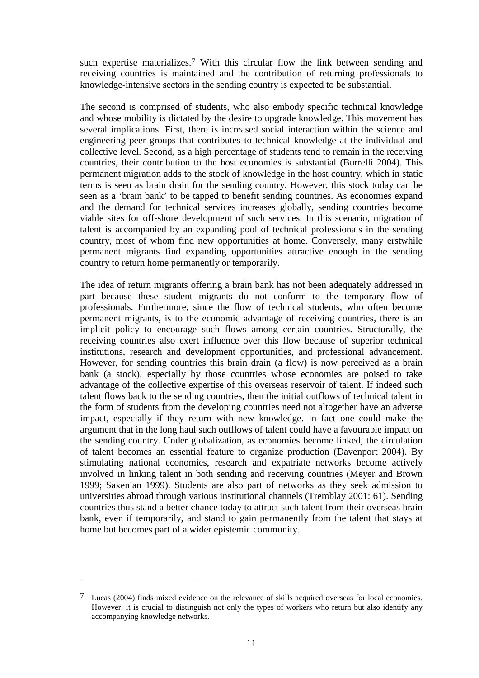such expertise materializes.7 With this circular flow the link between sending and receiving countries is maintained and the contribution of returning professionals to knowledge-intensive sectors in the sending country is expected to be substantial.

The second is comprised of students, who also embody specific technical knowledge and whose mobility is dictated by the desire to upgrade knowledge. This movement has several implications. First, there is increased social interaction within the science and engineering peer groups that contributes to technical knowledge at the individual and collective level. Second, as a high percentage of students tend to remain in the receiving countries, their contribution to the host economies is substantial (Burrelli 2004). This permanent migration adds to the stock of knowledge in the host country, which in static terms is seen as brain drain for the sending country. However, this stock today can be seen as a 'brain bank' to be tapped to benefit sending countries. As economies expand and the demand for technical services increases globally, sending countries become viable sites for off-shore development of such services. In this scenario, migration of talent is accompanied by an expanding pool of technical professionals in the sending country, most of whom find new opportunities at home. Conversely, many erstwhile permanent migrants find expanding opportunities attractive enough in the sending country to return home permanently or temporarily.

The idea of return migrants offering a brain bank has not been adequately addressed in part because these student migrants do not conform to the temporary flow of professionals. Furthermore, since the flow of technical students, who often become permanent migrants, is to the economic advantage of receiving countries, there is an implicit policy to encourage such flows among certain countries. Structurally, the receiving countries also exert influence over this flow because of superior technical institutions, research and development opportunities, and professional advancement. However, for sending countries this brain drain (a flow) is now perceived as a brain bank (a stock), especially by those countries whose economies are poised to take advantage of the collective expertise of this overseas reservoir of talent. If indeed such talent flows back to the sending countries, then the initial outflows of technical talent in the form of students from the developing countries need not altogether have an adverse impact, especially if they return with new knowledge. In fact one could make the argument that in the long haul such outflows of talent could have a favourable impact on the sending country. Under globalization, as economies become linked, the circulation of talent becomes an essential feature to organize production (Davenport 2004). By stimulating national economies, research and expatriate networks become actively involved in linking talent in both sending and receiving countries (Meyer and Brown 1999; Saxenian 1999). Students are also part of networks as they seek admission to universities abroad through various institutional channels (Tremblay 2001: 61). Sending countries thus stand a better chance today to attract such talent from their overseas brain bank, even if temporarily, and stand to gain permanently from the talent that stays at home but becomes part of a wider epistemic community.

<sup>7</sup> Lucas (2004) finds mixed evidence on the relevance of skills acquired overseas for local economies. However, it is crucial to distinguish not only the types of workers who return but also identify any accompanying knowledge networks.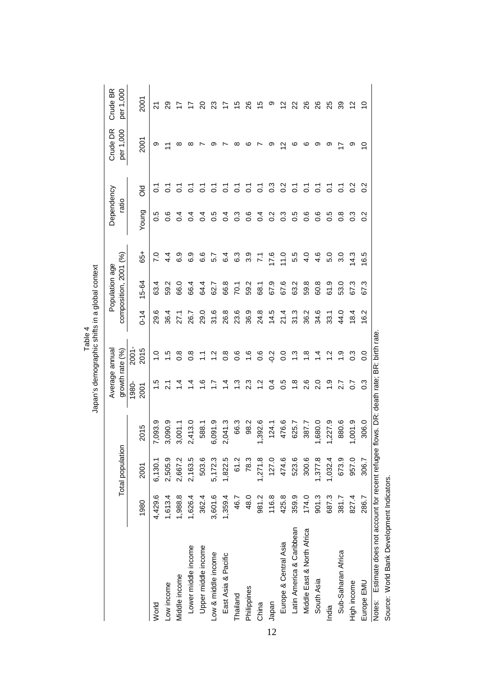|                                                     |         |                  |                                        | Average annual   |                  |          | Population age        |                 | Dependency       |                    | Crude DR           | Crude BR             |
|-----------------------------------------------------|---------|------------------|----------------------------------------|------------------|------------------|----------|-----------------------|-----------------|------------------|--------------------|--------------------|----------------------|
|                                                     |         | Total population |                                        | growth rate (%)  |                  |          | composition, 2001 (%) |                 | ratio            |                    | per 1,000          | per 1,000            |
|                                                     |         |                  |                                        | 1980-            | <b>2001</b>      |          |                       |                 |                  |                    |                    |                      |
|                                                     | 1980    | 2001             | 2015                                   | 2001             | 2015             | $0 - 14$ | 5-64                  | $\frac{1}{6}$   | Young            | <b>SO</b>          | 2001               | 2001                 |
| World                                               | 4,429.6 | 6,130.1          | 7,093.9                                | $\frac{5}{1}$    | $\frac{0}{1}$    | 29.6     | 63.4                  | $\overline{2}$  | 0.5              | ြ                  | တ                  | 21                   |
| Low income                                          | 1,613.4 | 2,505.9          | 3,090.9                                | $\overline{21}$  | 1.5              | 36.4     | 59.2                  | 4.4             | ٥.6              | ြ                  |                    | ని                   |
| Middle income                                       | 1,988.8 | 2,667.2          | 3,001.1                                | $\dot{a}$        | $\frac{8}{2}$    | 27.1     | 66.0                  | 6.9             | $\sigma$         | 5                  | ∞                  |                      |
| Lower middle income                                 | 1,626.4 | 2,163.5          | 2,413.0                                | 4.               | $\frac{8}{2}$    | 26.7     | 66.4                  | 6.9             | ैं               | 5                  |                    |                      |
| Upper middle income                                 | 362.4   | 503.6            | 588.1                                  | ڢ                | $\mathbb Z$      | 29.0     | 64.4                  | 6.6             | $\overline{0}$   | 5                  |                    | ຊ                    |
| Low & middle income                                 | 3,601.6 | 5,172.3          | 6,091.9                                | Ņ.               | $\frac{2}{1}$    | 31.6     | 62.7                  | 57              | 0.5              | 5                  |                    | ಔ                    |
| East Asia & Pacific                                 | 1,359.4 | 1,822.5          | 2,041.3                                | 4.               | $0.\overline{8}$ | 26.8     | 66.8                  | $6\overline{4}$ | $\overline{0}$ . | $\overline{\circ}$ |                    |                      |
| Thailand                                            | 46.7    | 61.2             | 66.3                                   | نې<br>د          | 0.6              | 23.6     | 70.1                  | 6.3             | $0.\overline{3}$ | 5                  | ∞                  | 15                   |
| Philippines                                         | 48.0    | 78.3             | 98.2                                   | $2.\overline{3}$ | 1.6              | 36.9     | 59.2                  | 3.9             | 0.6              | 5                  | ဖ                  | 88                   |
| China                                               | 981.2   | 1,271.8          | ,392.6                                 | $\ddot{ }$       | 0.6              | 24.8     | 68.1                  | $\mathbb{Z}$    | $\overline{0}$   | 5                  |                    | 15                   |
| Japan                                               | 116.8   | 127.0            | 124.1                                  | $\overline{0}$   | $-0.2$           | 14.5     | 67.9                  | 17.6            | 0.2              | $\frac{3}{2}$      | თ                  | თ                    |
| Europe & Central Asia                               | 425.8   | 474.6            | 476.6                                  | 0.5              | 0.0              | 21.4     | 67.6                  | 11.0            | $0.\overline{3}$ | $\frac{2}{3}$      | $\scriptstyle\sim$ | 51                   |
| Latin America & Caribbean                           | 359.9   | 523.6            | 625.7                                  | $\frac{8}{1}$    | $\frac{3}{2}$    | 31.3     | 63.2                  | 5.5             | 0.5              | 5                  | ဖ                  | 22                   |
| Middle East & North Africa                          | 174.0   | 300.6            | 387.7                                  | 2.6              | $\frac{8}{1}$    | 36.2     | 59.8                  | $\frac{0}{4}$   | 0.6              | $\overline{c}$     | ဖ                  | ని                   |
| South Asia                                          | 901.3   | 1,377.8          | .680.0                                 | 2.0              | $\frac{4}{1}$    | 34.6     | 60.8                  | 4.6             | 8.0              | $\overline{c}$     | თ                  | $\frac{8}{2}$        |
| India                                               | 687.3   | 1,032.4          | ,227.9                                 | $\ddot{ }$       | 1.2              | 33.1     | 61.9                  | 5.0             | 0.5              | $\overline{c}$     | တ                  | 25                   |
| Sub-Saharan Africa                                  | 381.7   | 673.9            | 880.6                                  | 2.7              | $\ddot{ }$       | 44.0     | 53.0                  | 3.0             | $\frac{8}{2}$    | $\overline{c}$     |                    | వి                   |
| High income                                         | 827.4   | 957.0            | 1,001.9                                | $\overline{0.7}$ | $0.\overline{3}$ | 18.4     | 67.3                  | 14.3            | $0.\overline{3}$ | $\frac{2}{3}$      | တ                  | $\frac{2}{\sqrt{2}}$ |
| Europe EMU                                          | 286.7   | 306.7            | 306.0                                  | $\frac{3}{2}$    | $\overline{0}$ . | 16.2     | 67.3                  | 6.5             | $\frac{2}{3}$    | $\frac{2}{3}$      | 9                  | S                    |
| Notes: Estimate does not account for recent refugee |         |                  | flows. DR: death rate; BR: birth rate. |                  |                  |          |                       |                 |                  |                    |                    |                      |

Table 4<br>Japan's demographic shifts in a global context Japan's demographic shifts in a global context

12

Source: World Bank Development Indicators.

Source: World Bank Development Indicators.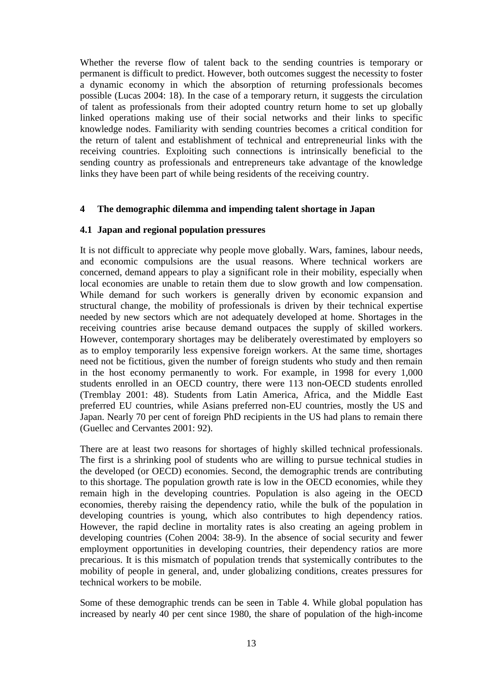Whether the reverse flow of talent back to the sending countries is temporary or permanent is difficult to predict. However, both outcomes suggest the necessity to foster a dynamic economy in which the absorption of returning professionals becomes possible (Lucas 2004: 18). In the case of a temporary return, it suggests the circulation of talent as professionals from their adopted country return home to set up globally linked operations making use of their social networks and their links to specific knowledge nodes. Familiarity with sending countries becomes a critical condition for the return of talent and establishment of technical and entrepreneurial links with the receiving countries. Exploiting such connections is intrinsically beneficial to the sending country as professionals and entrepreneurs take advantage of the knowledge links they have been part of while being residents of the receiving country.

# **4 The demographic dilemma and impending talent shortage in Japan**

# **4.1 Japan and regional population pressures**

It is not difficult to appreciate why people move globally. Wars, famines, labour needs, and economic compulsions are the usual reasons. Where technical workers are concerned, demand appears to play a significant role in their mobility, especially when local economies are unable to retain them due to slow growth and low compensation. While demand for such workers is generally driven by economic expansion and structural change, the mobility of professionals is driven by their technical expertise needed by new sectors which are not adequately developed at home. Shortages in the receiving countries arise because demand outpaces the supply of skilled workers. However, contemporary shortages may be deliberately overestimated by employers so as to employ temporarily less expensive foreign workers. At the same time, shortages need not be fictitious, given the number of foreign students who study and then remain in the host economy permanently to work. For example, in 1998 for every 1,000 students enrolled in an OECD country, there were 113 non-OECD students enrolled (Tremblay 2001: 48). Students from Latin America, Africa, and the Middle East preferred EU countries, while Asians preferred non-EU countries, mostly the US and Japan. Nearly 70 per cent of foreign PhD recipients in the US had plans to remain there (Guellec and Cervantes 2001: 92).

There are at least two reasons for shortages of highly skilled technical professionals. The first is a shrinking pool of students who are willing to pursue technical studies in the developed (or OECD) economies. Second, the demographic trends are contributing to this shortage. The population growth rate is low in the OECD economies, while they remain high in the developing countries. Population is also ageing in the OECD economies, thereby raising the dependency ratio, while the bulk of the population in developing countries is young, which also contributes to high dependency ratios. However, the rapid decline in mortality rates is also creating an ageing problem in developing countries (Cohen 2004: 38-9). In the absence of social security and fewer employment opportunities in developing countries, their dependency ratios are more precarious. It is this mismatch of population trends that systemically contributes to the mobility of people in general, and, under globalizing conditions, creates pressures for technical workers to be mobile.

Some of these demographic trends can be seen in Table 4. While global population has increased by nearly 40 per cent since 1980, the share of population of the high-income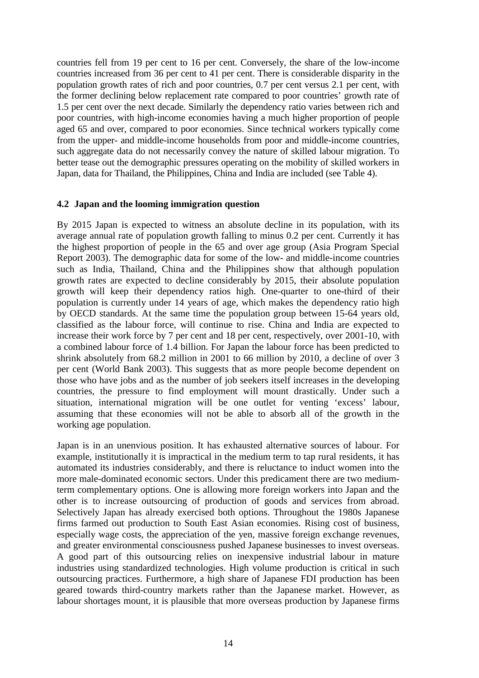countries fell from 19 per cent to 16 per cent. Conversely, the share of the low-income countries increased from 36 per cent to 41 per cent. There is considerable disparity in the population growth rates of rich and poor countries, 0.7 per cent versus 2.1 per cent, with the former declining below replacement rate compared to poor countries' growth rate of 1.5 per cent over the next decade. Similarly the dependency ratio varies between rich and poor countries, with high-income economies having a much higher proportion of people aged 65 and over, compared to poor economies. Since technical workers typically come from the upper- and middle-income households from poor and middle-income countries, such aggregate data do not necessarily convey the nature of skilled labour migration. To better tease out the demographic pressures operating on the mobility of skilled workers in Japan, data for Thailand, the Philippines, China and India are included (see Table 4).

# **4.2 Japan and the looming immigration question**

By 2015 Japan is expected to witness an absolute decline in its population, with its average annual rate of population growth falling to minus 0.2 per cent. Currently it has the highest proportion of people in the 65 and over age group (Asia Program Special Report 2003). The demographic data for some of the low- and middle-income countries such as India, Thailand, China and the Philippines show that although population growth rates are expected to decline considerably by 2015, their absolute population growth will keep their dependency ratios high. One-quarter to one-third of their population is currently under 14 years of age, which makes the dependency ratio high by OECD standards. At the same time the population group between 15-64 years old, classified as the labour force, will continue to rise. China and India are expected to increase their work force by 7 per cent and 18 per cent, respectively, over 2001-10, with a combined labour force of 1.4 billion. For Japan the labour force has been predicted to shrink absolutely from 68.2 million in 2001 to 66 million by 2010, a decline of over 3 per cent (World Bank 2003). This suggests that as more people become dependent on those who have jobs and as the number of job seekers itself increases in the developing countries, the pressure to find employment will mount drastically. Under such a situation, international migration will be one outlet for venting 'excess' labour, assuming that these economies will not be able to absorb all of the growth in the working age population.

Japan is in an unenvious position. It has exhausted alternative sources of labour. For example, institutionally it is impractical in the medium term to tap rural residents, it has automated its industries considerably, and there is reluctance to induct women into the more male-dominated economic sectors. Under this predicament there are two mediumterm complementary options. One is allowing more foreign workers into Japan and the other is to increase outsourcing of production of goods and services from abroad. Selectively Japan has already exercised both options. Throughout the 1980s Japanese firms farmed out production to South East Asian economies. Rising cost of business, especially wage costs, the appreciation of the yen, massive foreign exchange revenues, and greater environmental consciousness pushed Japanese businesses to invest overseas. A good part of this outsourcing relies on inexpensive industrial labour in mature industries using standardized technologies. High volume production is critical in such outsourcing practices. Furthermore, a high share of Japanese FDI production has been geared towards third-country markets rather than the Japanese market. However, as labour shortages mount, it is plausible that more overseas production by Japanese firms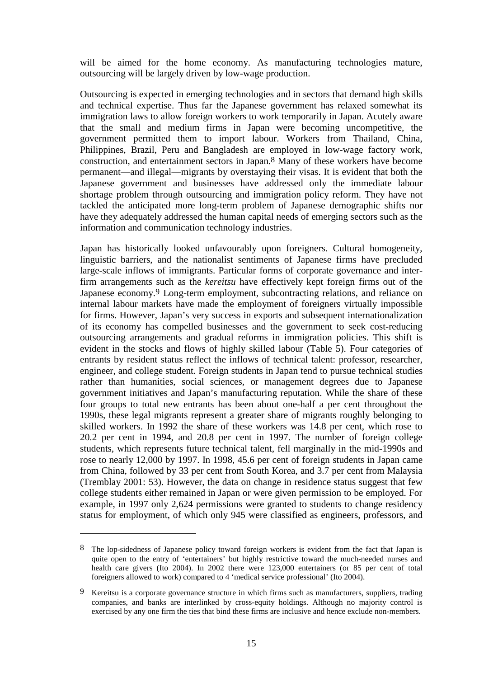will be aimed for the home economy. As manufacturing technologies mature, outsourcing will be largely driven by low-wage production.

Outsourcing is expected in emerging technologies and in sectors that demand high skills and technical expertise. Thus far the Japanese government has relaxed somewhat its immigration laws to allow foreign workers to work temporarily in Japan. Acutely aware that the small and medium firms in Japan were becoming uncompetitive, the government permitted them to import labour. Workers from Thailand, China, Philippines, Brazil, Peru and Bangladesh are employed in low-wage factory work, construction, and entertainment sectors in Japan.8 Many of these workers have become permanent—and illegal—migrants by overstaying their visas. It is evident that both the Japanese government and businesses have addressed only the immediate labour shortage problem through outsourcing and immigration policy reform. They have not tackled the anticipated more long-term problem of Japanese demographic shifts nor have they adequately addressed the human capital needs of emerging sectors such as the information and communication technology industries.

Japan has historically looked unfavourably upon foreigners. Cultural homogeneity, linguistic barriers, and the nationalist sentiments of Japanese firms have precluded large-scale inflows of immigrants. Particular forms of corporate governance and interfirm arrangements such as the *kereitsu* have effectively kept foreign firms out of the Japanese economy.<sup>9</sup> Long-term employment, subcontracting relations, and reliance on internal labour markets have made the employment of foreigners virtually impossible for firms. However, Japan's very success in exports and subsequent internationalization of its economy has compelled businesses and the government to seek cost-reducing outsourcing arrangements and gradual reforms in immigration policies. This shift is evident in the stocks and flows of highly skilled labour (Table 5). Four categories of entrants by resident status reflect the inflows of technical talent: professor, researcher, engineer, and college student. Foreign students in Japan tend to pursue technical studies rather than humanities, social sciences, or management degrees due to Japanese government initiatives and Japan's manufacturing reputation. While the share of these four groups to total new entrants has been about one-half a per cent throughout the 1990s, these legal migrants represent a greater share of migrants roughly belonging to skilled workers. In 1992 the share of these workers was 14.8 per cent, which rose to 20.2 per cent in 1994, and 20.8 per cent in 1997. The number of foreign college students, which represents future technical talent, fell marginally in the mid-1990s and rose to nearly 12,000 by 1997. In 1998, 45.6 per cent of foreign students in Japan came from China, followed by 33 per cent from South Korea, and 3.7 per cent from Malaysia (Tremblay 2001: 53). However, the data on change in residence status suggest that few college students either remained in Japan or were given permission to be employed. For example, in 1997 only 2,624 permissions were granted to students to change residency status for employment, of which only 945 were classified as engineers, professors, and

<sup>8</sup> The lop-sidedness of Japanese policy toward foreign workers is evident from the fact that Japan is quite open to the entry of 'entertainers' but highly restrictive toward the much-needed nurses and health care givers (Ito 2004). In 2002 there were 123,000 entertainers (or 85 per cent of total foreigners allowed to work) compared to 4 'medical service professional' (Ito 2004).

<sup>9</sup> Kereitsu is a corporate governance structure in which firms such as manufacturers, suppliers, trading companies, and banks are interlinked by cross-equity holdings. Although no majority control is exercised by any one firm the ties that bind these firms are inclusive and hence exclude non-members.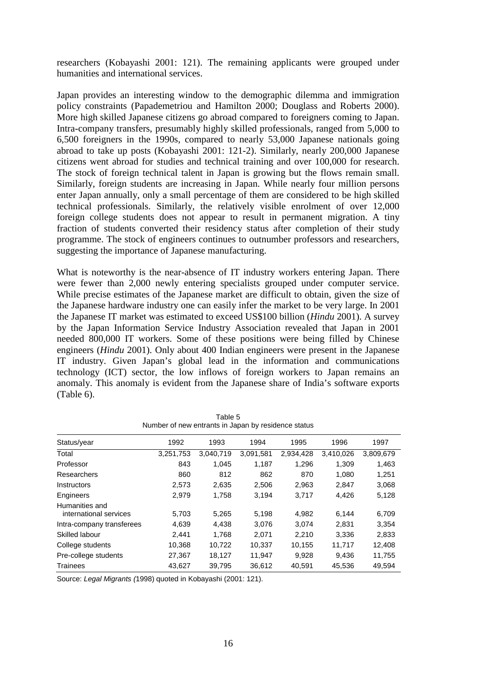researchers (Kobayashi 2001: 121). The remaining applicants were grouped under humanities and international services.

Japan provides an interesting window to the demographic dilemma and immigration policy constraints (Papademetriou and Hamilton 2000; Douglass and Roberts 2000). More high skilled Japanese citizens go abroad compared to foreigners coming to Japan. Intra-company transfers, presumably highly skilled professionals, ranged from 5,000 to 6,500 foreigners in the 1990s, compared to nearly 53,000 Japanese nationals going abroad to take up posts (Kobayashi 2001: 121-2). Similarly, nearly 200,000 Japanese citizens went abroad for studies and technical training and over 100,000 for research. The stock of foreign technical talent in Japan is growing but the flows remain small. Similarly, foreign students are increasing in Japan. While nearly four million persons enter Japan annually, only a small percentage of them are considered to be high skilled technical professionals. Similarly, the relatively visible enrolment of over 12,000 foreign college students does not appear to result in permanent migration. A tiny fraction of students converted their residency status after completion of their study programme. The stock of engineers continues to outnumber professors and researchers, suggesting the importance of Japanese manufacturing.

What is noteworthy is the near-absence of IT industry workers entering Japan. There were fewer than 2,000 newly entering specialists grouped under computer service. While precise estimates of the Japanese market are difficult to obtain, given the size of the Japanese hardware industry one can easily infer the market to be very large. In 2001 the Japanese IT market was estimated to exceed US\$100 billion (*Hindu* 2001). A survey by the Japan Information Service Industry Association revealed that Japan in 2001 needed 800,000 IT workers. Some of these positions were being filled by Chinese engineers (*Hindu* 2001). Only about 400 Indian engineers were present in the Japanese IT industry. Given Japan's global lead in the information and communications technology (ICT) sector, the low inflows of foreign workers to Japan remains an anomaly. This anomaly is evident from the Japanese share of India's software exports (Table 6).

| <b>INGHINGLY OF HEW GRUATILY IN JAPAN DY TESIGENCE STATUS</b> |           |           |           |           |           |           |  |
|---------------------------------------------------------------|-----------|-----------|-----------|-----------|-----------|-----------|--|
| Status/year                                                   | 1992      | 1993      | 1994      | 1995      | 1996      | 1997      |  |
| Total                                                         | 3,251,753 | 3,040,719 | 3,091,581 | 2,934,428 | 3,410,026 | 3,809,679 |  |
| Professor                                                     | 843       | 1.045     | 1,187     | 1,296     | 1,309     | 1,463     |  |
| Researchers                                                   | 860       | 812       | 862       | 870       | 1.080     | 1,251     |  |
| <b>Instructors</b>                                            | 2,573     | 2,635     | 2,506     | 2,963     | 2,847     | 3,068     |  |
| Engineers                                                     | 2.979     | 1,758     | 3.194     | 3,717     | 4,426     | 5,128     |  |
| Humanities and<br>international services                      | 5,703     | 5,265     | 5,198     | 4,982     | 6,144     | 6,709     |  |
| Intra-company transferees                                     | 4,639     | 4,438     | 3,076     | 3,074     | 2,831     | 3,354     |  |
| Skilled labour                                                | 2.441     | 1.768     | 2.071     | 2,210     | 3.336     | 2,833     |  |
| College students                                              | 10,368    | 10,722    | 10,337    | 10,155    | 11,717    | 12,408    |  |
| Pre-college students                                          | 27,367    | 18,127    | 11,947    | 9,928     | 9.436     | 11,755    |  |
| <b>Trainees</b>                                               | 43,627    | 39.795    | 36,612    | 40.591    | 45,536    | 49.594    |  |

Table 5 Number of new entrants in Japan by residence status

Source: *Legal Migrants (*1998) quoted in Kobayashi (2001: 121).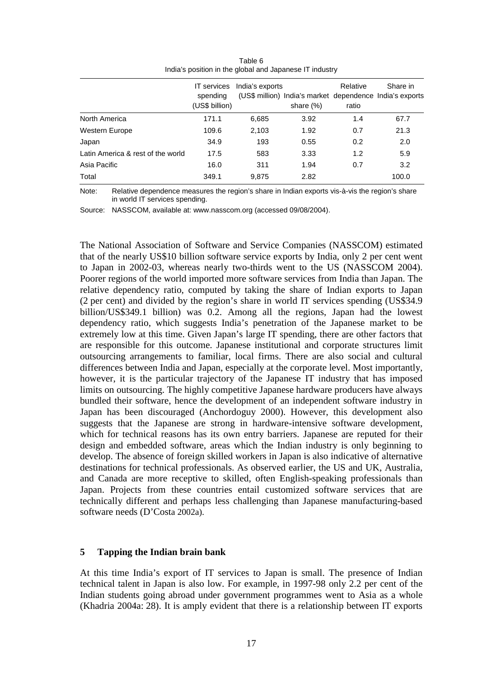|                                   | <b>IT</b> services<br>spending<br>(US\$ billion) | India's exports | (US\$ million) India's market dependence India's exports<br>share $(\%)$ | Relative<br>ratio | Share in |
|-----------------------------------|--------------------------------------------------|-----------------|--------------------------------------------------------------------------|-------------------|----------|
| North America                     | 171.1                                            | 6,685           | 3.92                                                                     | 1.4               | 67.7     |
| Western Europe                    | 109.6                                            | 2,103           | 1.92                                                                     | 0.7               | 21.3     |
| Japan                             | 34.9                                             | 193             | 0.55                                                                     | 0.2               | 2.0      |
| Latin America & rest of the world | 17.5                                             | 583             | 3.33                                                                     | 1.2               | 5.9      |
| Asia Pacific                      | 16.0                                             | 311             | 1.94                                                                     | 0.7               | 3.2      |
| Total                             | 349.1                                            | 9,875           | 2.82                                                                     |                   | 100.0    |

Table 6 India's position in the global and Japanese IT industry

Note: Relative dependence measures the region's share in Indian exports vis-à-vis the region's share in world IT services spending.

Source: NASSCOM, available at: www.nasscom.org (accessed 09/08/2004).

The National Association of Software and Service Companies (NASSCOM) estimated that of the nearly US\$10 billion software service exports by India, only 2 per cent went to Japan in 2002-03, whereas nearly two-thirds went to the US (NASSCOM 2004). Poorer regions of the world imported more software services from India than Japan. The relative dependency ratio, computed by taking the share of Indian exports to Japan (2 per cent) and divided by the region's share in world IT services spending (US\$34.9 billion/US\$349.1 billion) was 0.2. Among all the regions, Japan had the lowest dependency ratio, which suggests India's penetration of the Japanese market to be extremely low at this time. Given Japan's large IT spending, there are other factors that are responsible for this outcome. Japanese institutional and corporate structures limit outsourcing arrangements to familiar, local firms. There are also social and cultural differences between India and Japan, especially at the corporate level. Most importantly, however, it is the particular trajectory of the Japanese IT industry that has imposed limits on outsourcing. The highly competitive Japanese hardware producers have always bundled their software, hence the development of an independent software industry in Japan has been discouraged (Anchordoguy 2000). However, this development also suggests that the Japanese are strong in hardware-intensive software development, which for technical reasons has its own entry barriers. Japanese are reputed for their design and embedded software, areas which the Indian industry is only beginning to develop. The absence of foreign skilled workers in Japan is also indicative of alternative destinations for technical professionals. As observed earlier, the US and UK, Australia, and Canada are more receptive to skilled, often English-speaking professionals than Japan. Projects from these countries entail customized software services that are technically different and perhaps less challenging than Japanese manufacturing-based software needs (D'Costa 2002a).

#### **5 Tapping the Indian brain bank**

At this time India's export of IT services to Japan is small. The presence of Indian technical talent in Japan is also low. For example, in 1997-98 only 2.2 per cent of the Indian students going abroad under government programmes went to Asia as a whole (Khadria 2004a: 28). It is amply evident that there is a relationship between IT exports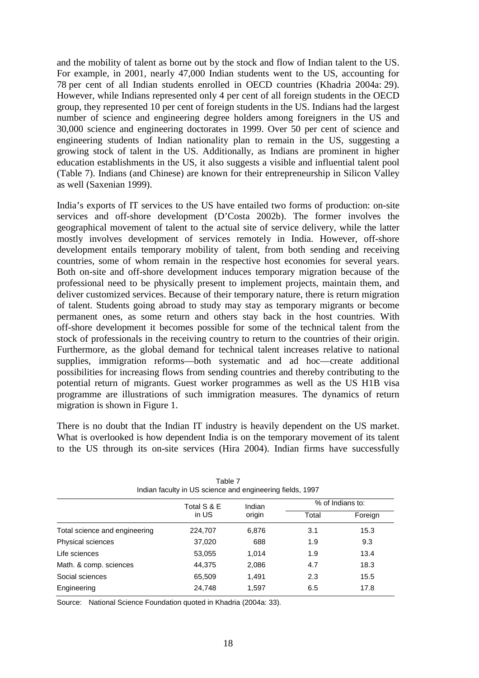and the mobility of talent as borne out by the stock and flow of Indian talent to the US. For example, in 2001, nearly 47,000 Indian students went to the US, accounting for 78 per cent of all Indian students enrolled in OECD countries (Khadria 2004a: 29). However, while Indians represented only 4 per cent of all foreign students in the OECD group, they represented 10 per cent of foreign students in the US. Indians had the largest number of science and engineering degree holders among foreigners in the US and 30,000 science and engineering doctorates in 1999. Over 50 per cent of science and engineering students of Indian nationality plan to remain in the US, suggesting a growing stock of talent in the US. Additionally, as Indians are prominent in higher education establishments in the US, it also suggests a visible and influential talent pool (Table 7). Indians (and Chinese) are known for their entrepreneurship in Silicon Valley as well (Saxenian 1999).

India's exports of IT services to the US have entailed two forms of production: on-site services and off-shore development (D'Costa 2002b). The former involves the geographical movement of talent to the actual site of service delivery, while the latter mostly involves development of services remotely in India. However, off-shore development entails temporary mobility of talent, from both sending and receiving countries, some of whom remain in the respective host economies for several years. Both on-site and off-shore development induces temporary migration because of the professional need to be physically present to implement projects, maintain them, and deliver customized services. Because of their temporary nature, there is return migration of talent. Students going abroad to study may stay as temporary migrants or become permanent ones, as some return and others stay back in the host countries. With off-shore development it becomes possible for some of the technical talent from the stock of professionals in the receiving country to return to the countries of their origin. Furthermore, as the global demand for technical talent increases relative to national supplies, immigration reforms—both systematic and ad hoc—create additional possibilities for increasing flows from sending countries and thereby contributing to the potential return of migrants. Guest worker programmes as well as the US H1B visa programme are illustrations of such immigration measures. The dynamics of return migration is shown in Figure 1.

There is no doubt that the Indian IT industry is heavily dependent on the US market. What is overlooked is how dependent India is on the temporary movement of its talent to the US through its on-site services (Hira 2004). Indian firms have successfully

| Total S & E | Indian |       | % of Indians to: |
|-------------|--------|-------|------------------|
| in US       | origin | Total | Foreign          |
| 224,707     | 6,876  | 3.1   | 15.3             |
| 37,020      | 688    | 1.9   | 9.3              |
| 53,055      | 1.014  | 1.9   | 13.4             |
| 44,375      | 2,086  | 4.7   | 18.3             |
| 65,509      | 1,491  | 2.3   | 15.5             |
| 24,748      | 1,597  | 6.5   | 17.8             |
|             |        |       |                  |

Table 7 Indian faculty in US science and engineering fields, 1997

Source: National Science Foundation quoted in Khadria (2004a: 33).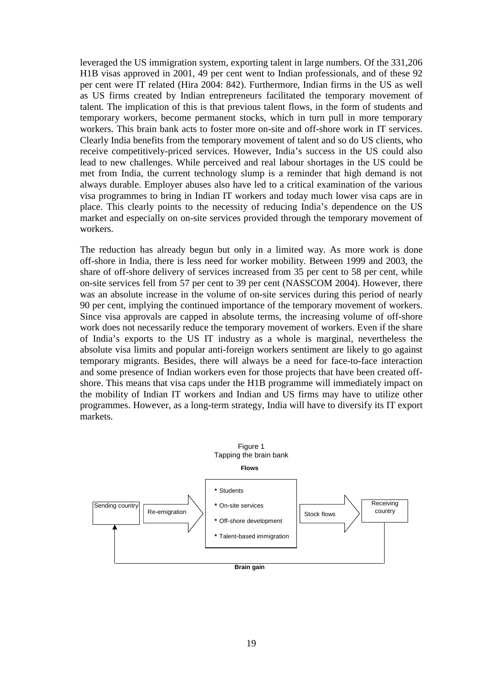leveraged the US immigration system, exporting talent in large numbers. Of the 331,206 H1B visas approved in 2001, 49 per cent went to Indian professionals, and of these 92 per cent were IT related (Hira 2004: 842). Furthermore, Indian firms in the US as well as US firms created by Indian entrepreneurs facilitated the temporary movement of talent. The implication of this is that previous talent flows, in the form of students and temporary workers, become permanent stocks, which in turn pull in more temporary workers. This brain bank acts to foster more on-site and off-shore work in IT services. Clearly India benefits from the temporary movement of talent and so do US clients, who receive competitively-priced services. However, India's success in the US could also lead to new challenges. While perceived and real labour shortages in the US could be met from India, the current technology slump is a reminder that high demand is not always durable. Employer abuses also have led to a critical examination of the various visa programmes to bring in Indian IT workers and today much lower visa caps are in place. This clearly points to the necessity of reducing India's dependence on the US market and especially on on-site services provided through the temporary movement of workers.

The reduction has already begun but only in a limited way. As more work is done off-shore in India, there is less need for worker mobility. Between 1999 and 2003, the share of off-shore delivery of services increased from 35 per cent to 58 per cent, while on-site services fell from 57 per cent to 39 per cent (NASSCOM 2004). However, there was an absolute increase in the volume of on-site services during this period of nearly 90 per cent, implying the continued importance of the temporary movement of workers. Since visa approvals are capped in absolute terms, the increasing volume of off-shore work does not necessarily reduce the temporary movement of workers. Even if the share of India's exports to the US IT industry as a whole is marginal, nevertheless the absolute visa limits and popular anti-foreign workers sentiment are likely to go against temporary migrants. Besides, there will always be a need for face-to-face interaction and some presence of Indian workers even for those projects that have been created offshore. This means that visa caps under the H1B programme will immediately impact on the mobility of Indian IT workers and Indian and US firms may have to utilize other programmes. However, as a long-term strategy, India will have to diversify its IT export markets.

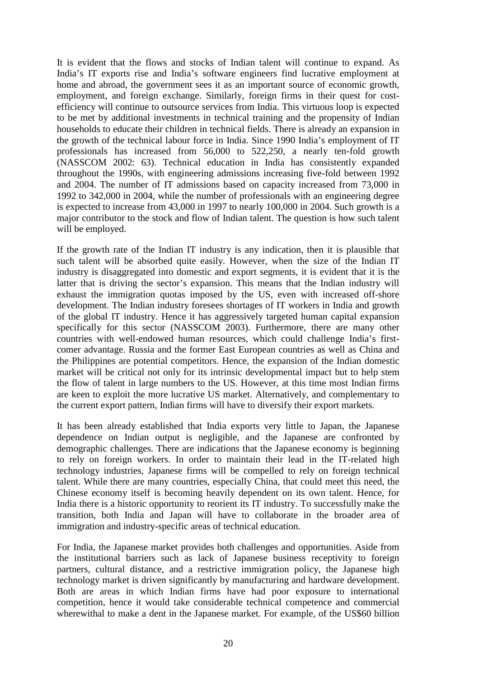It is evident that the flows and stocks of Indian talent will continue to expand. As India's IT exports rise and India's software engineers find lucrative employment at home and abroad, the government sees it as an important source of economic growth, employment, and foreign exchange. Similarly, foreign firms in their quest for costefficiency will continue to outsource services from India. This virtuous loop is expected to be met by additional investments in technical training and the propensity of Indian households to educate their children in technical fields. There is already an expansion in the growth of the technical labour force in India. Since 1990 India's employment of IT professionals has increased from 56,000 to 522,250, a nearly ten-fold growth (NASSCOM 2002: 63). Technical education in India has consistently expanded throughout the 1990s, with engineering admissions increasing five-fold between 1992 and 2004. The number of IT admissions based on capacity increased from 73,000 in 1992 to 342,000 in 2004, while the number of professionals with an engineering degree is expected to increase from 43,000 in 1997 to nearly 100,000 in 2004. Such growth is a major contributor to the stock and flow of Indian talent. The question is how such talent will be employed.

If the growth rate of the Indian IT industry is any indication, then it is plausible that such talent will be absorbed quite easily. However, when the size of the Indian IT industry is disaggregated into domestic and export segments, it is evident that it is the latter that is driving the sector's expansion. This means that the Indian industry will exhaust the immigration quotas imposed by the US, even with increased off-shore development. The Indian industry foresees shortages of IT workers in India and growth of the global IT industry. Hence it has aggressively targeted human capital expansion specifically for this sector (NASSCOM 2003). Furthermore, there are many other countries with well-endowed human resources, which could challenge India's firstcomer advantage. Russia and the former East European countries as well as China and the Philippines are potential competitors. Hence, the expansion of the Indian domestic market will be critical not only for its intrinsic developmental impact but to help stem the flow of talent in large numbers to the US. However, at this time most Indian firms are keen to exploit the more lucrative US market. Alternatively, and complementary to the current export pattern, Indian firms will have to diversify their export markets.

It has been already established that India exports very little to Japan, the Japanese dependence on Indian output is negligible, and the Japanese are confronted by demographic challenges. There are indications that the Japanese economy is beginning to rely on foreign workers. In order to maintain their lead in the IT-related high technology industries, Japanese firms will be compelled to rely on foreign technical talent. While there are many countries, especially China, that could meet this need, the Chinese economy itself is becoming heavily dependent on its own talent. Hence, for India there is a historic opportunity to reorient its IT industry. To successfully make the transition, both India and Japan will have to collaborate in the broader area of immigration and industry-specific areas of technical education.

For India, the Japanese market provides both challenges and opportunities. Aside from the institutional barriers such as lack of Japanese business receptivity to foreign partners, cultural distance, and a restrictive immigration policy, the Japanese high technology market is driven significantly by manufacturing and hardware development. Both are areas in which Indian firms have had poor exposure to international competition, hence it would take considerable technical competence and commercial wherewithal to make a dent in the Japanese market. For example, of the US\$60 billion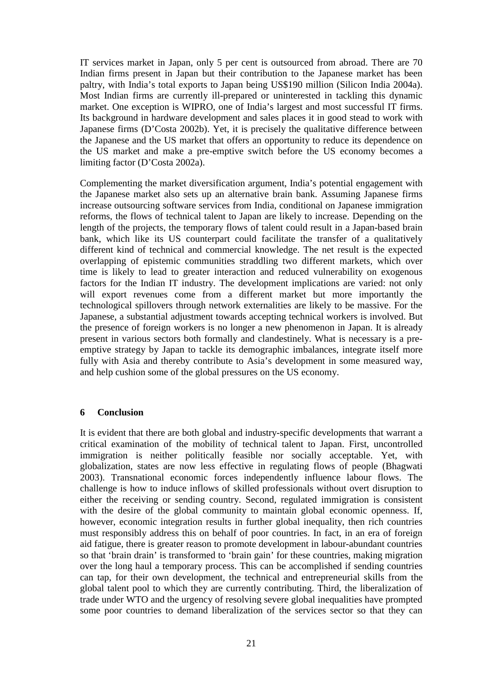IT services market in Japan, only 5 per cent is outsourced from abroad. There are 70 Indian firms present in Japan but their contribution to the Japanese market has been paltry, with India's total exports to Japan being US\$190 million (Silicon India 2004a). Most Indian firms are currently ill-prepared or uninterested in tackling this dynamic market. One exception is WIPRO, one of India's largest and most successful IT firms. Its background in hardware development and sales places it in good stead to work with Japanese firms (D'Costa 2002b). Yet, it is precisely the qualitative difference between the Japanese and the US market that offers an opportunity to reduce its dependence on the US market and make a pre-emptive switch before the US economy becomes a limiting factor (D'Costa 2002a).

Complementing the market diversification argument, India's potential engagement with the Japanese market also sets up an alternative brain bank. Assuming Japanese firms increase outsourcing software services from India, conditional on Japanese immigration reforms, the flows of technical talent to Japan are likely to increase. Depending on the length of the projects, the temporary flows of talent could result in a Japan-based brain bank, which like its US counterpart could facilitate the transfer of a qualitatively different kind of technical and commercial knowledge. The net result is the expected overlapping of epistemic communities straddling two different markets, which over time is likely to lead to greater interaction and reduced vulnerability on exogenous factors for the Indian IT industry. The development implications are varied: not only will export revenues come from a different market but more importantly the technological spillovers through network externalities are likely to be massive. For the Japanese, a substantial adjustment towards accepting technical workers is involved. But the presence of foreign workers is no longer a new phenomenon in Japan. It is already present in various sectors both formally and clandestinely. What is necessary is a preemptive strategy by Japan to tackle its demographic imbalances, integrate itself more fully with Asia and thereby contribute to Asia's development in some measured way, and help cushion some of the global pressures on the US economy.

# **6 Conclusion**

It is evident that there are both global and industry-specific developments that warrant a critical examination of the mobility of technical talent to Japan. First, uncontrolled immigration is neither politically feasible nor socially acceptable. Yet, with globalization, states are now less effective in regulating flows of people (Bhagwati 2003). Transnational economic forces independently influence labour flows. The challenge is how to induce inflows of skilled professionals without overt disruption to either the receiving or sending country. Second, regulated immigration is consistent with the desire of the global community to maintain global economic openness. If, however, economic integration results in further global inequality, then rich countries must responsibly address this on behalf of poor countries. In fact, in an era of foreign aid fatigue, there is greater reason to promote development in labour-abundant countries so that 'brain drain' is transformed to 'brain gain' for these countries, making migration over the long haul a temporary process. This can be accomplished if sending countries can tap, for their own development, the technical and entrepreneurial skills from the global talent pool to which they are currently contributing. Third, the liberalization of trade under WTO and the urgency of resolving severe global inequalities have prompted some poor countries to demand liberalization of the services sector so that they can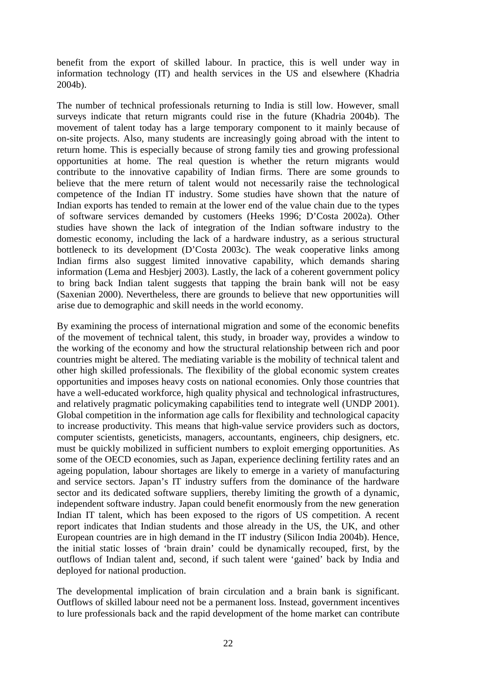benefit from the export of skilled labour. In practice, this is well under way in information technology (IT) and health services in the US and elsewhere (Khadria 2004b).

The number of technical professionals returning to India is still low. However, small surveys indicate that return migrants could rise in the future (Khadria 2004b). The movement of talent today has a large temporary component to it mainly because of on-site projects. Also, many students are increasingly going abroad with the intent to return home. This is especially because of strong family ties and growing professional opportunities at home. The real question is whether the return migrants would contribute to the innovative capability of Indian firms. There are some grounds to believe that the mere return of talent would not necessarily raise the technological competence of the Indian IT industry. Some studies have shown that the nature of Indian exports has tended to remain at the lower end of the value chain due to the types of software services demanded by customers (Heeks 1996; D'Costa 2002a). Other studies have shown the lack of integration of the Indian software industry to the domestic economy, including the lack of a hardware industry, as a serious structural bottleneck to its development (D'Costa 2003c). The weak cooperative links among Indian firms also suggest limited innovative capability, which demands sharing information (Lema and Hesbjerj 2003). Lastly, the lack of a coherent government policy to bring back Indian talent suggests that tapping the brain bank will not be easy (Saxenian 2000). Nevertheless, there are grounds to believe that new opportunities will arise due to demographic and skill needs in the world economy.

By examining the process of international migration and some of the economic benefits of the movement of technical talent, this study, in broader way, provides a window to the working of the economy and how the structural relationship between rich and poor countries might be altered. The mediating variable is the mobility of technical talent and other high skilled professionals. The flexibility of the global economic system creates opportunities and imposes heavy costs on national economies. Only those countries that have a well-educated workforce, high quality physical and technological infrastructures, and relatively pragmatic policymaking capabilities tend to integrate well (UNDP 2001). Global competition in the information age calls for flexibility and technological capacity to increase productivity. This means that high-value service providers such as doctors, computer scientists, geneticists, managers, accountants, engineers, chip designers, etc. must be quickly mobilized in sufficient numbers to exploit emerging opportunities. As some of the OECD economies, such as Japan, experience declining fertility rates and an ageing population, labour shortages are likely to emerge in a variety of manufacturing and service sectors. Japan's IT industry suffers from the dominance of the hardware sector and its dedicated software suppliers, thereby limiting the growth of a dynamic, independent software industry. Japan could benefit enormously from the new generation Indian IT talent, which has been exposed to the rigors of US competition. A recent report indicates that Indian students and those already in the US, the UK, and other European countries are in high demand in the IT industry (Silicon India 2004b). Hence, the initial static losses of 'brain drain' could be dynamically recouped, first, by the outflows of Indian talent and, second, if such talent were 'gained' back by India and deployed for national production.

The developmental implication of brain circulation and a brain bank is significant. Outflows of skilled labour need not be a permanent loss. Instead, government incentives to lure professionals back and the rapid development of the home market can contribute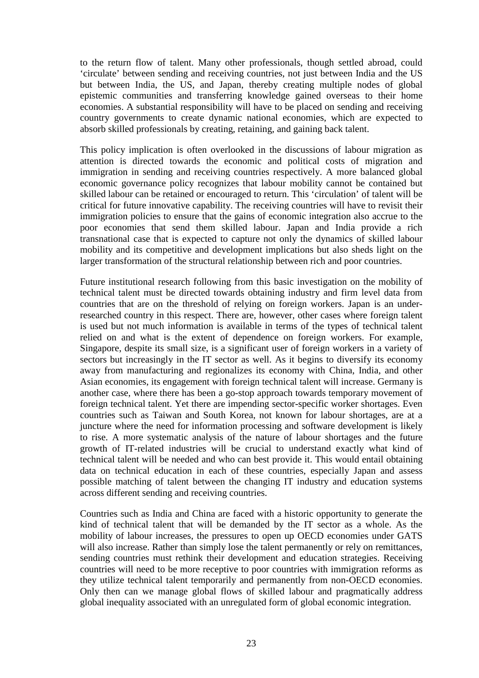to the return flow of talent. Many other professionals, though settled abroad, could 'circulate' between sending and receiving countries, not just between India and the US but between India, the US, and Japan, thereby creating multiple nodes of global epistemic communities and transferring knowledge gained overseas to their home economies. A substantial responsibility will have to be placed on sending and receiving country governments to create dynamic national economies, which are expected to absorb skilled professionals by creating, retaining, and gaining back talent.

This policy implication is often overlooked in the discussions of labour migration as attention is directed towards the economic and political costs of migration and immigration in sending and receiving countries respectively. A more balanced global economic governance policy recognizes that labour mobility cannot be contained but skilled labour can be retained or encouraged to return. This 'circulation' of talent will be critical for future innovative capability. The receiving countries will have to revisit their immigration policies to ensure that the gains of economic integration also accrue to the poor economies that send them skilled labour. Japan and India provide a rich transnational case that is expected to capture not only the dynamics of skilled labour mobility and its competitive and development implications but also sheds light on the larger transformation of the structural relationship between rich and poor countries.

Future institutional research following from this basic investigation on the mobility of technical talent must be directed towards obtaining industry and firm level data from countries that are on the threshold of relying on foreign workers. Japan is an underresearched country in this respect. There are, however, other cases where foreign talent is used but not much information is available in terms of the types of technical talent relied on and what is the extent of dependence on foreign workers. For example, Singapore, despite its small size, is a significant user of foreign workers in a variety of sectors but increasingly in the IT sector as well. As it begins to diversify its economy away from manufacturing and regionalizes its economy with China, India, and other Asian economies, its engagement with foreign technical talent will increase. Germany is another case, where there has been a go-stop approach towards temporary movement of foreign technical talent. Yet there are impending sector-specific worker shortages. Even countries such as Taiwan and South Korea, not known for labour shortages, are at a juncture where the need for information processing and software development is likely to rise. A more systematic analysis of the nature of labour shortages and the future growth of IT-related industries will be crucial to understand exactly what kind of technical talent will be needed and who can best provide it. This would entail obtaining data on technical education in each of these countries, especially Japan and assess possible matching of talent between the changing IT industry and education systems across different sending and receiving countries.

Countries such as India and China are faced with a historic opportunity to generate the kind of technical talent that will be demanded by the IT sector as a whole. As the mobility of labour increases, the pressures to open up OECD economies under GATS will also increase. Rather than simply lose the talent permanently or rely on remittances, sending countries must rethink their development and education strategies. Receiving countries will need to be more receptive to poor countries with immigration reforms as they utilize technical talent temporarily and permanently from non-OECD economies. Only then can we manage global flows of skilled labour and pragmatically address global inequality associated with an unregulated form of global economic integration.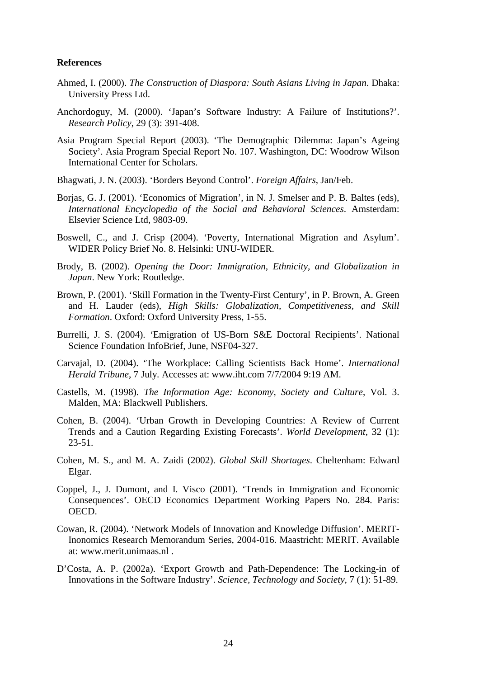#### **References**

- Ahmed, I. (2000). *The Construction of Diaspora: South Asians Living in Japan*. Dhaka: University Press Ltd.
- Anchordoguy, M. (2000). 'Japan's Software Industry: A Failure of Institutions?'. *Research Policy*, 29 (3): 391-408.
- Asia Program Special Report (2003). 'The Demographic Dilemma: Japan's Ageing Society'. Asia Program Special Report No. 107. Washington, DC: Woodrow Wilson International Center for Scholars.
- Bhagwati, J. N. (2003). 'Borders Beyond Control'. *Foreign Affairs*, Jan/Feb.
- Borjas, G. J. (2001). 'Economics of Migration', in N. J. Smelser and P. B. Baltes (eds), *International Encyclopedia of the Social and Behavioral Sciences*. Amsterdam: Elsevier Science Ltd, 9803-09.
- Boswell, C., and J. Crisp (2004). 'Poverty, International Migration and Asylum'. WIDER Policy Brief No. 8. Helsinki: UNU-WIDER.
- Brody, B. (2002). *Opening the Door: Immigration, Ethnicity, and Globalization in Japan*. New York: Routledge.
- Brown, P. (2001). 'Skill Formation in the Twenty-First Century', in P. Brown, A. Green and H. Lauder (eds), *High Skills: Globalization, Competitiveness, and Skill Formation*. Oxford: Oxford University Press, 1-55.
- Burrelli, J. S. (2004). 'Emigration of US-Born S&E Doctoral Recipients'. National Science Foundation InfoBrief, June, NSF04-327.
- Carvajal, D. (2004). 'The Workplace: Calling Scientists Back Home'. *International Herald Tribune*, 7 July. Accesses at: www.iht.com 7/7/2004 9:19 AM.
- Castells, M. (1998). *The Information Age: Economy, Society and Culture*, Vol. 3. Malden, MA: Blackwell Publishers.
- Cohen, B. (2004). 'Urban Growth in Developing Countries: A Review of Current Trends and a Caution Regarding Existing Forecasts'. *World Development*, 32 (1): 23-51.
- Cohen, M. S., and M. A. Zaidi (2002). *Global Skill Shortages*. Cheltenham: Edward Elgar.
- Coppel, J., J. Dumont, and I. Visco (2001). 'Trends in Immigration and Economic Consequences'. OECD Economics Department Working Papers No. 284. Paris: OECD.
- Cowan, R. (2004). 'Network Models of Innovation and Knowledge Diffusion'. MERIT-Inonomics Research Memorandum Series, 2004-016. Maastricht: MERIT. Available at: www.merit.unimaas.nl .
- D'Costa, A. P. (2002a). 'Export Growth and Path-Dependence: The Locking-in of Innovations in the Software Industry'. *Science, Technology and Society*, 7 (1): 51-89.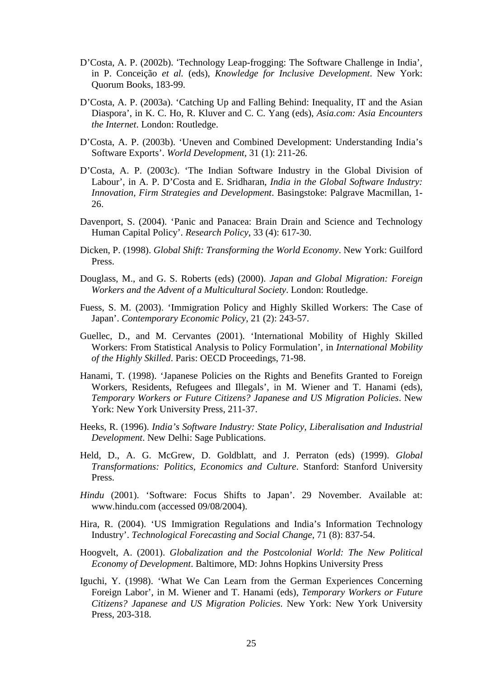- D'Costa, A. P. (2002b). 'Technology Leap-frogging: The Software Challenge in India', in P. Conceição *et al.* (eds), *Knowledge for Inclusive Development*. New York: Quorum Books, 183-99.
- D'Costa, A. P. (2003a). 'Catching Up and Falling Behind: Inequality, IT and the Asian Diaspora', in K. C. Ho, R. Kluver and C. C. Yang (eds), *Asia.com: Asia Encounters the Internet*. London: Routledge.
- D'Costa, A. P. (2003b). 'Uneven and Combined Development: Understanding India's Software Exports'. *World Development*, 31 (1): 211-26.
- D'Costa, A. P. (2003c). 'The Indian Software Industry in the Global Division of Labour', in A. P. D'Costa and E. Sridharan, *India in the Global Software Industry: Innovation, Firm Strategies and Development*. Basingstoke: Palgrave Macmillan, 1- 26.
- Davenport, S. (2004). 'Panic and Panacea: Brain Drain and Science and Technology Human Capital Policy'. *Research Policy*, 33 (4): 617-30.
- Dicken, P. (1998). *Global Shift: Transforming the World Economy*. New York: Guilford Press.
- Douglass, M., and G. S. Roberts (eds) (2000). *Japan and Global Migration: Foreign Workers and the Advent of a Multicultural Society*. London: Routledge.
- Fuess, S. M. (2003). 'Immigration Policy and Highly Skilled Workers: The Case of Japan'. *Contemporary Economic Policy*, 21 (2): 243-57.
- Guellec, D., and M. Cervantes (2001). 'International Mobility of Highly Skilled Workers: From Statistical Analysis to Policy Formulation', in *International Mobility of the Highly Skilled*. Paris: OECD Proceedings, 71-98.
- Hanami, T. (1998). 'Japanese Policies on the Rights and Benefits Granted to Foreign Workers, Residents, Refugees and Illegals', in M. Wiener and T. Hanami (eds), *Temporary Workers or Future Citizens? Japanese and US Migration Policies*. New York: New York University Press, 211-37.
- Heeks, R. (1996). *India's Software Industry: State Policy, Liberalisation and Industrial Development*. New Delhi: Sage Publications.
- Held, D., A. G. McGrew, D. Goldblatt, and J. Perraton (eds) (1999). *Global Transformations: Politics, Economics and Culture*. Stanford: Stanford University Press.
- *Hindu* (2001). 'Software: Focus Shifts to Japan'. 29 November. Available at: www.hindu.com (accessed 09/08/2004).
- Hira, R. (2004). 'US Immigration Regulations and India's Information Technology Industry'. *Technological Forecasting and Social Change*, 71 (8): 837-54.
- Hoogvelt, A. (2001). *Globalization and the Postcolonial World: The New Political Economy of Development*. Baltimore, MD: Johns Hopkins University Press
- Iguchi, Y. (1998). 'What We Can Learn from the German Experiences Concerning Foreign Labor', in M. Wiener and T. Hanami (eds), *Temporary Workers or Future Citizens? Japanese and US Migration Policies*. New York: New York University Press, 203-318.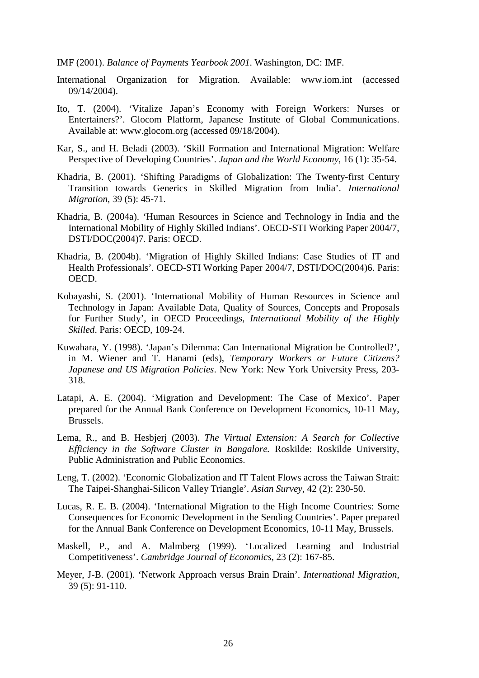IMF (2001). *Balance of Payments Yearbook 2001*. Washington, DC: IMF.

- International Organization for Migration. Available: www.iom.int (accessed 09/14/2004).
- Ito, T. (2004). 'Vitalize Japan's Economy with Foreign Workers: Nurses or Entertainers?'. Glocom Platform, Japanese Institute of Global Communications. Available at: www.glocom.org (accessed 09/18/2004).
- Kar, S., and H. Beladi (2003). 'Skill Formation and International Migration: Welfare Perspective of Developing Countries'. *Japan and the World Economy*, 16 (1): 35-54.
- Khadria, B. (2001). 'Shifting Paradigms of Globalization: The Twenty-first Century Transition towards Generics in Skilled Migration from India'. *International Migration*, 39 (5): 45-71.
- Khadria, B. (2004a). 'Human Resources in Science and Technology in India and the International Mobility of Highly Skilled Indians'. OECD-STI Working Paper 2004/7, DSTI/DOC(2004)7. Paris: OECD.
- Khadria, B. (2004b). 'Migration of Highly Skilled Indians: Case Studies of IT and Health Professionals'. OECD-STI Working Paper 2004/7, DSTI/DOC(2004)6. Paris: OECD.
- Kobayashi, S. (2001). 'International Mobility of Human Resources in Science and Technology in Japan: Available Data, Quality of Sources, Concepts and Proposals for Further Study', in OECD Proceedings, *International Mobility of the Highly Skilled*. Paris: OECD, 109-24.
- Kuwahara, Y. (1998). 'Japan's Dilemma: Can International Migration be Controlled?', in M. Wiener and T. Hanami (eds), *Temporary Workers or Future Citizens? Japanese and US Migration Policies*. New York: New York University Press, 203- 318.
- Latapi, A. E. (2004). 'Migration and Development: The Case of Mexico'. Paper prepared for the Annual Bank Conference on Development Economics, 10-11 May, Brussels.
- Lema, R., and B. Hesbjerj (2003). *The Virtual Extension: A Search for Collective Efficiency in the Software Cluster in Bangalore.* Roskilde: Roskilde University, Public Administration and Public Economics.
- Leng, T. (2002). 'Economic Globalization and IT Talent Flows across the Taiwan Strait: The Taipei-Shanghai-Silicon Valley Triangle'. *Asian Survey*, 42 (2): 230-50.
- Lucas, R. E. B. (2004). 'International Migration to the High Income Countries: Some Consequences for Economic Development in the Sending Countries'. Paper prepared for the Annual Bank Conference on Development Economics, 10-11 May, Brussels.
- Maskell, P., and A. Malmberg (1999). 'Localized Learning and Industrial Competitiveness'. *Cambridge Journal of Economics*, 23 (2): 167-85.
- Meyer, J-B. (2001). 'Network Approach versus Brain Drain'. *International Migration*, 39 (5): 91-110.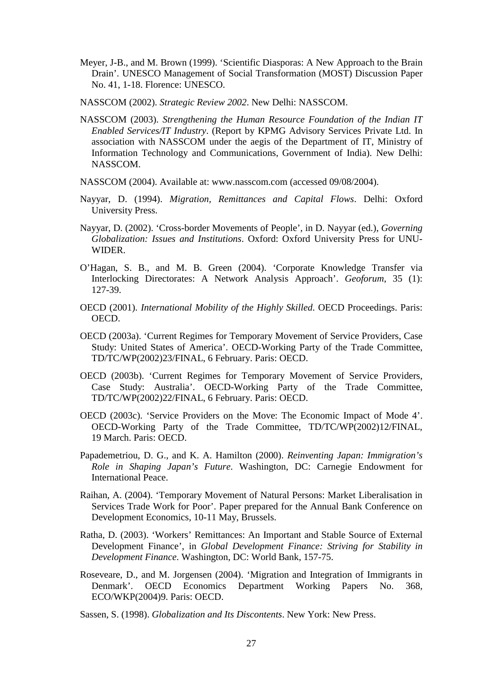- Meyer, J-B., and M. Brown (1999). 'Scientific Diasporas: A New Approach to the Brain Drain'. UNESCO Management of Social Transformation (MOST) Discussion Paper No. 41, 1-18. Florence: UNESCO.
- NASSCOM (2002). *Strategic Review 2002*. New Delhi: NASSCOM.
- NASSCOM (2003). *Strengthening the Human Resource Foundation of the Indian IT Enabled Services/IT Industry*. (Report by KPMG Advisory Services Private Ltd. In association with NASSCOM under the aegis of the Department of IT, Ministry of Information Technology and Communications, Government of India). New Delhi: NASSCOM.
- NASSCOM (2004). Available at: www.nasscom.com (accessed 09/08/2004).
- Nayyar, D. (1994). *Migration, Remittances and Capital Flows*. Delhi: Oxford University Press.
- Nayyar, D. (2002). 'Cross-border Movements of People', in D. Nayyar (ed.), *Governing Globalization: Issues and Institutions*. Oxford: Oxford University Press for UNU-WIDER.
- O'Hagan, S. B., and M. B. Green (2004). 'Corporate Knowledge Transfer via Interlocking Directorates: A Network Analysis Approach'. *Geoforum*, 35 (1): 127-39.
- OECD (2001). *International Mobility of the Highly Skilled*. OECD Proceedings. Paris: OECD.
- OECD (2003a). 'Current Regimes for Temporary Movement of Service Providers, Case Study: United States of America'. OECD-Working Party of the Trade Committee, TD/TC/WP(2002)23/FINAL, 6 February. Paris: OECD.
- OECD (2003b). 'Current Regimes for Temporary Movement of Service Providers, Case Study: Australia'. OECD-Working Party of the Trade Committee, TD/TC/WP(2002)22/FINAL, 6 February. Paris: OECD.
- OECD (2003c). 'Service Providers on the Move: The Economic Impact of Mode 4'. OECD-Working Party of the Trade Committee, TD/TC/WP(2002)12/FINAL, 19 March. Paris: OECD.
- Papademetriou, D. G., and K. A. Hamilton (2000). *Reinventing Japan: Immigration's Role in Shaping Japan's Future*. Washington, DC: Carnegie Endowment for International Peace.
- Raihan, A. (2004). 'Temporary Movement of Natural Persons: Market Liberalisation in Services Trade Work for Poor'. Paper prepared for the Annual Bank Conference on Development Economics, 10-11 May, Brussels.
- Ratha, D. (2003). 'Workers' Remittances: An Important and Stable Source of External Development Finance', in *Global Development Finance: Striving for Stability in Development Finance*. Washington, DC: World Bank, 157-75.
- Roseveare, D., and M. Jorgensen (2004). 'Migration and Integration of Immigrants in Denmark'. OECD Economics Department Working Papers No. 368, ECO/WKP(2004)9. Paris: OECD.
- Sassen, S. (1998). *Globalization and Its Discontents*. New York: New Press.